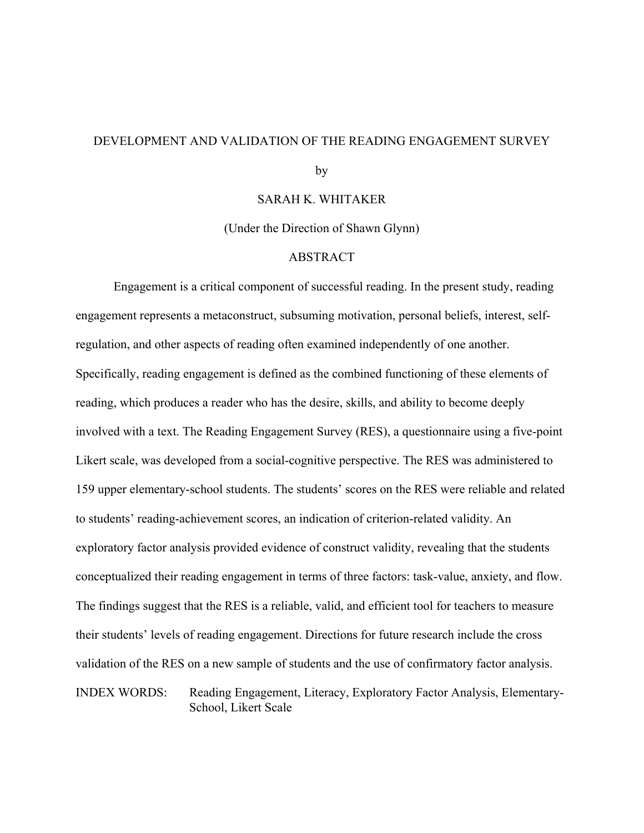### DEVELOPMENT AND VALIDATION OF THE READING ENGAGEMENT SURVEY

by

### SARAH K. WHITAKER

(Under the Direction of Shawn Glynn)

### ABSTRACT

Engagement is a critical component of successful reading. In the present study, reading engagement represents a metaconstruct, subsuming motivation, personal beliefs, interest, selfregulation, and other aspects of reading often examined independently of one another. Specifically, reading engagement is defined as the combined functioning of these elements of reading, which produces a reader who has the desire, skills, and ability to become deeply involved with a text. The Reading Engagement Survey (RES), a questionnaire using a five-point Likert scale, was developed from a social-cognitive perspective. The RES was administered to 159 upper elementary-school students. The students' scores on the RES were reliable and related to students' reading-achievement scores, an indication of criterion-related validity. An exploratory factor analysis provided evidence of construct validity, revealing that the students conceptualized their reading engagement in terms of three factors: task-value, anxiety, and flow. The findings suggest that the RES is a reliable, valid, and efficient tool for teachers to measure their students' levels of reading engagement. Directions for future research include the cross validation of the RES on a new sample of students and the use of confirmatory factor analysis. INDEX WORDS: Reading Engagement, Literacy, Exploratory Factor Analysis, Elementary-School, Likert Scale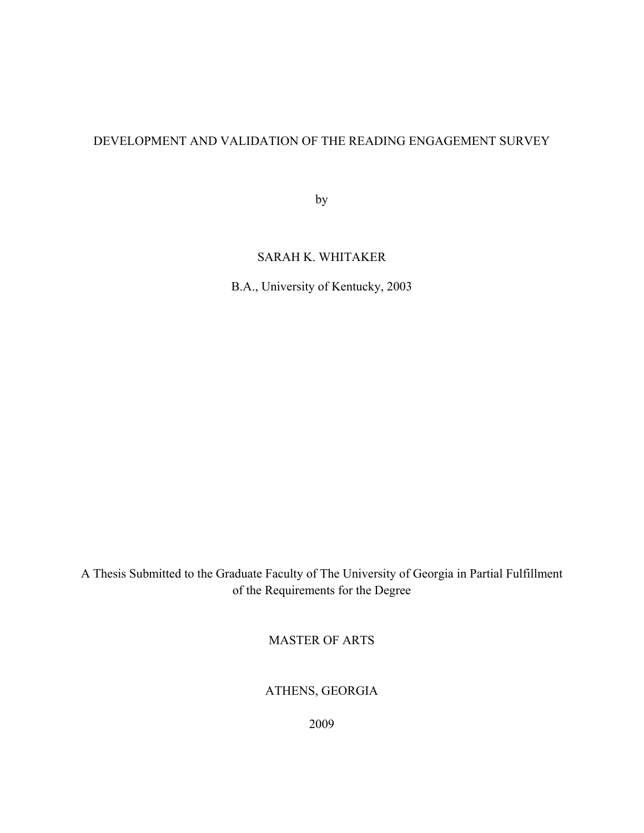## DEVELOPMENT AND VALIDATION OF THE READING ENGAGEMENT SURVEY

by

## SARAH K. WHITAKER

B.A., University of Kentucky, 2003

A Thesis Submitted to the Graduate Faculty of The University of Georgia in Partial Fulfillment of the Requirements for the Degree

MASTER OF ARTS

ATHENS, GEORGIA

2009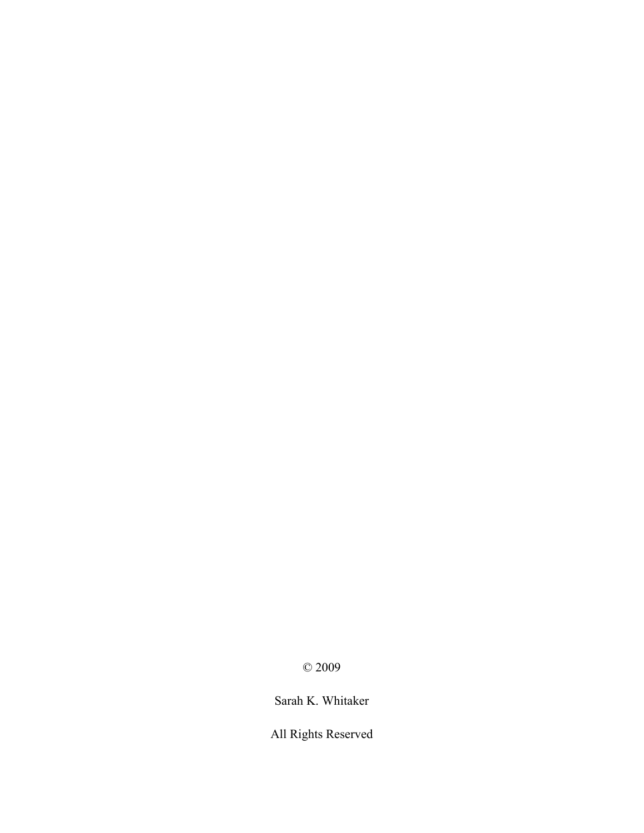© 2009

Sarah K. Whitaker

All Rights Reserved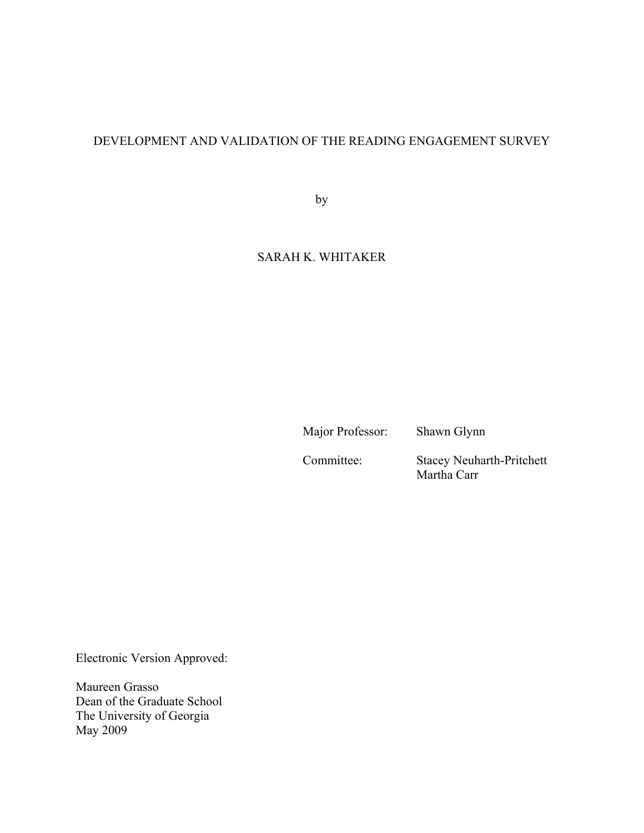## DEVELOPMENT AND VALIDATION OF THE READING ENGAGEMENT SURVEY

by

## SARAH K. WHITAKER

Major Professor: Shawn Glynn

Committee: Stacey Neuharth-Pritchett Martha Carr

Electronic Version Approved:

Maureen Grasso Dean of the Graduate School The University of Georgia May 2009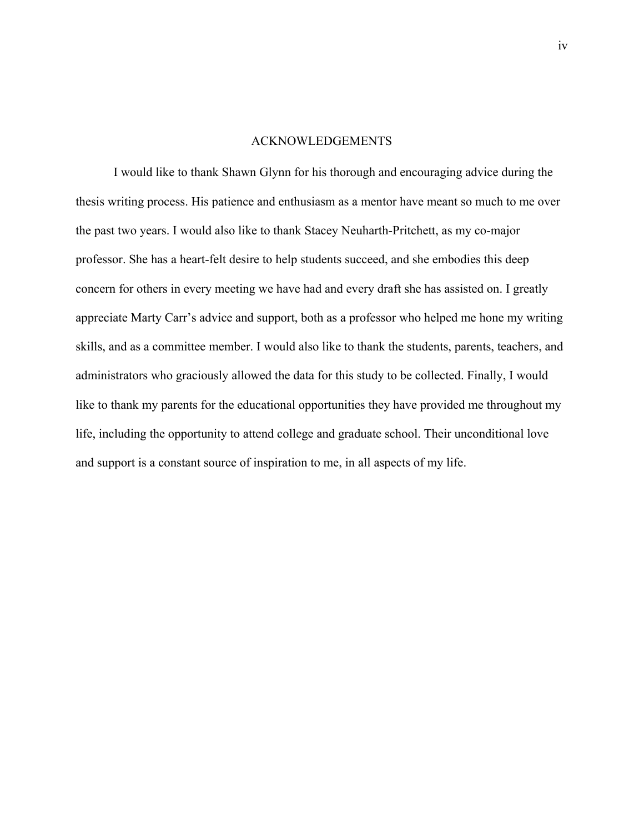### ACKNOWLEDGEMENTS

I would like to thank Shawn Glynn for his thorough and encouraging advice during the thesis writing process. His patience and enthusiasm as a mentor have meant so much to me over the past two years. I would also like to thank Stacey Neuharth-Pritchett, as my co-major professor. She has a heart-felt desire to help students succeed, and she embodies this deep concern for others in every meeting we have had and every draft she has assisted on. I greatly appreciate Marty Carr's advice and support, both as a professor who helped me hone my writing skills, and as a committee member. I would also like to thank the students, parents, teachers, and administrators who graciously allowed the data for this study to be collected. Finally, I would like to thank my parents for the educational opportunities they have provided me throughout my life, including the opportunity to attend college and graduate school. Their unconditional love and support is a constant source of inspiration to me, in all aspects of my life.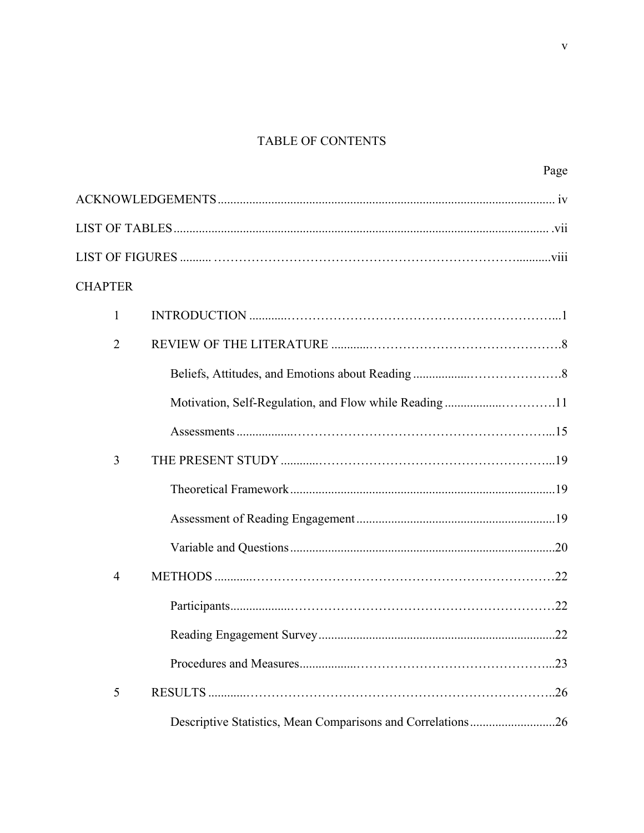# TABLE OF CONTENTS

|                |                                                             | Page |
|----------------|-------------------------------------------------------------|------|
|                |                                                             |      |
|                |                                                             |      |
|                |                                                             |      |
| <b>CHAPTER</b> |                                                             |      |
| 1              |                                                             |      |
| $\overline{2}$ |                                                             |      |
|                |                                                             |      |
|                |                                                             |      |
|                |                                                             |      |
| 3              |                                                             |      |
|                |                                                             |      |
|                |                                                             |      |
|                |                                                             |      |
| $\overline{4}$ |                                                             |      |
|                |                                                             |      |
|                |                                                             |      |
|                |                                                             |      |
| 5              |                                                             | .26  |
|                | Descriptive Statistics, Mean Comparisons and Correlations26 |      |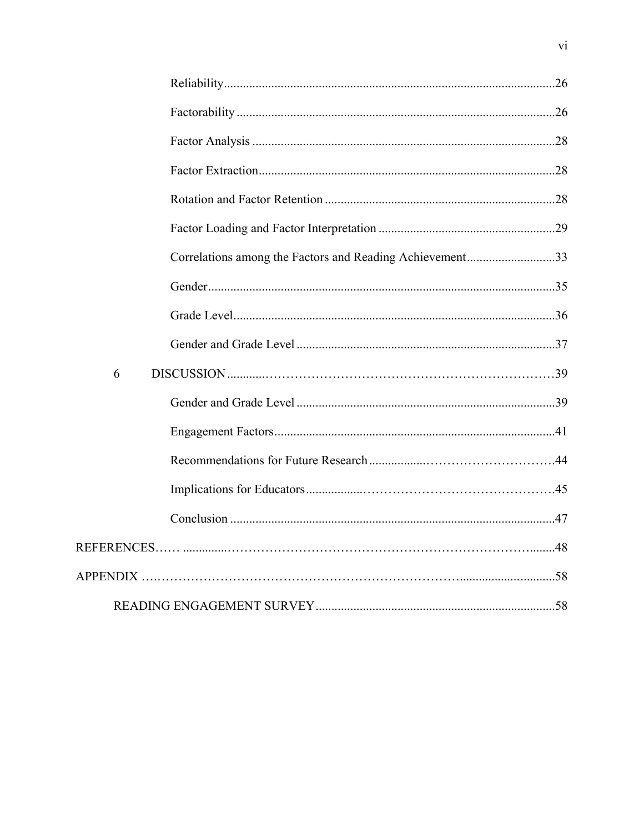|   | Correlations among the Factors and Reading Achievement33 |  |
|---|----------------------------------------------------------|--|
|   |                                                          |  |
|   |                                                          |  |
|   |                                                          |  |
| 6 |                                                          |  |
|   |                                                          |  |
|   |                                                          |  |
|   |                                                          |  |
|   |                                                          |  |
|   |                                                          |  |
|   |                                                          |  |
|   |                                                          |  |
|   |                                                          |  |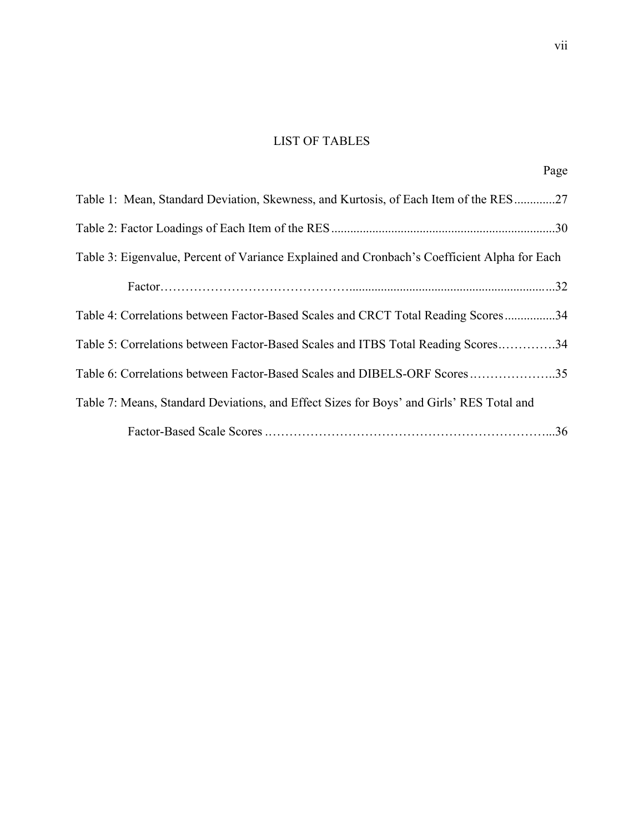# LIST OF TABLES

| Table 1: Mean, Standard Deviation, Skewness, and Kurtosis, of Each Item of the RES27         |
|----------------------------------------------------------------------------------------------|
|                                                                                              |
| Table 3: Eigenvalue, Percent of Variance Explained and Cronbach's Coefficient Alpha for Each |
|                                                                                              |
| Table 4: Correlations between Factor-Based Scales and CRCT Total Reading Scores34            |
| Table 5: Correlations between Factor-Based Scales and ITBS Total Reading Scores34            |
| Table 6: Correlations between Factor-Based Scales and DIBELS-ORF Scores35                    |
| Table 7: Means, Standard Deviations, and Effect Sizes for Boys' and Girls' RES Total and     |
|                                                                                              |

Page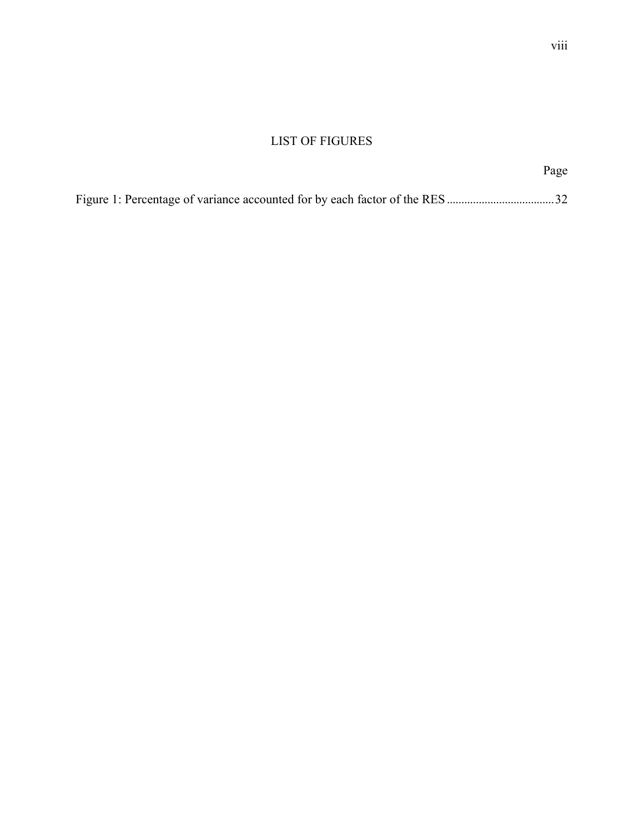# LIST OF FIGURES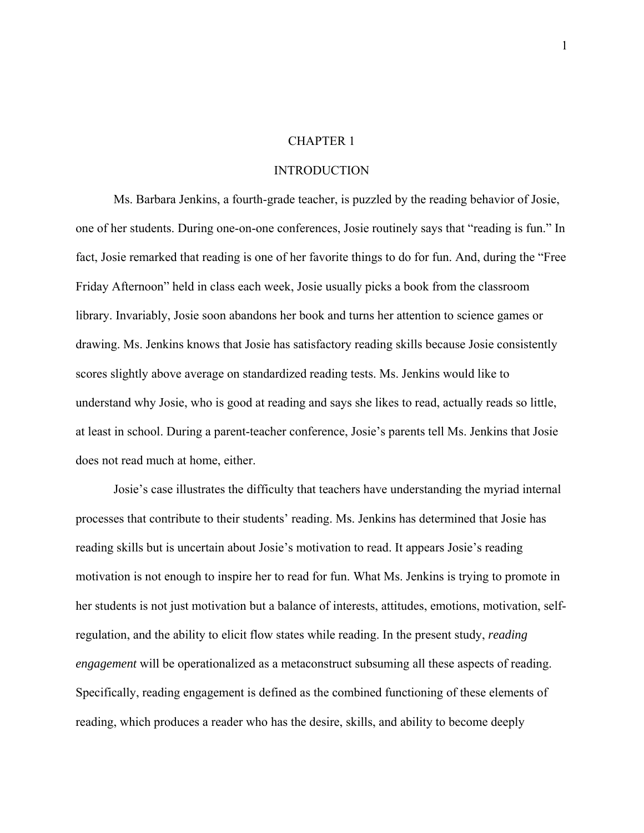### CHAPTER 1

### INTRODUCTION

Ms. Barbara Jenkins, a fourth-grade teacher, is puzzled by the reading behavior of Josie, one of her students. During one-on-one conferences, Josie routinely says that "reading is fun." In fact, Josie remarked that reading is one of her favorite things to do for fun. And, during the "Free Friday Afternoon" held in class each week, Josie usually picks a book from the classroom library. Invariably, Josie soon abandons her book and turns her attention to science games or drawing. Ms. Jenkins knows that Josie has satisfactory reading skills because Josie consistently scores slightly above average on standardized reading tests. Ms. Jenkins would like to understand why Josie, who is good at reading and says she likes to read, actually reads so little, at least in school. During a parent-teacher conference, Josie's parents tell Ms. Jenkins that Josie does not read much at home, either.

Josie's case illustrates the difficulty that teachers have understanding the myriad internal processes that contribute to their students' reading. Ms. Jenkins has determined that Josie has reading skills but is uncertain about Josie's motivation to read. It appears Josie's reading motivation is not enough to inspire her to read for fun. What Ms. Jenkins is trying to promote in her students is not just motivation but a balance of interests, attitudes, emotions, motivation, selfregulation, and the ability to elicit flow states while reading. In the present study, *reading engagement* will be operationalized as a metaconstruct subsuming all these aspects of reading. Specifically, reading engagement is defined as the combined functioning of these elements of reading, which produces a reader who has the desire, skills, and ability to become deeply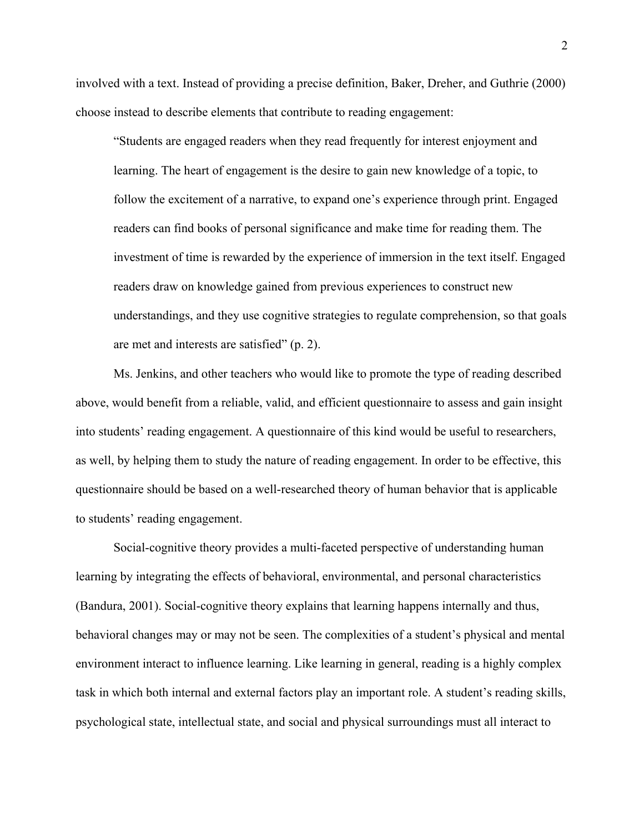involved with a text. Instead of providing a precise definition, Baker, Dreher, and Guthrie (2000) choose instead to describe elements that contribute to reading engagement:

"Students are engaged readers when they read frequently for interest enjoyment and learning. The heart of engagement is the desire to gain new knowledge of a topic, to follow the excitement of a narrative, to expand one's experience through print. Engaged readers can find books of personal significance and make time for reading them. The investment of time is rewarded by the experience of immersion in the text itself. Engaged readers draw on knowledge gained from previous experiences to construct new understandings, and they use cognitive strategies to regulate comprehension, so that goals are met and interests are satisfied" (p. 2).

Ms. Jenkins, and other teachers who would like to promote the type of reading described above, would benefit from a reliable, valid, and efficient questionnaire to assess and gain insight into students' reading engagement. A questionnaire of this kind would be useful to researchers, as well, by helping them to study the nature of reading engagement. In order to be effective, this questionnaire should be based on a well-researched theory of human behavior that is applicable to students' reading engagement.

Social-cognitive theory provides a multi-faceted perspective of understanding human learning by integrating the effects of behavioral, environmental, and personal characteristics (Bandura, 2001). Social-cognitive theory explains that learning happens internally and thus, behavioral changes may or may not be seen. The complexities of a student's physical and mental environment interact to influence learning. Like learning in general, reading is a highly complex task in which both internal and external factors play an important role. A student's reading skills, psychological state, intellectual state, and social and physical surroundings must all interact to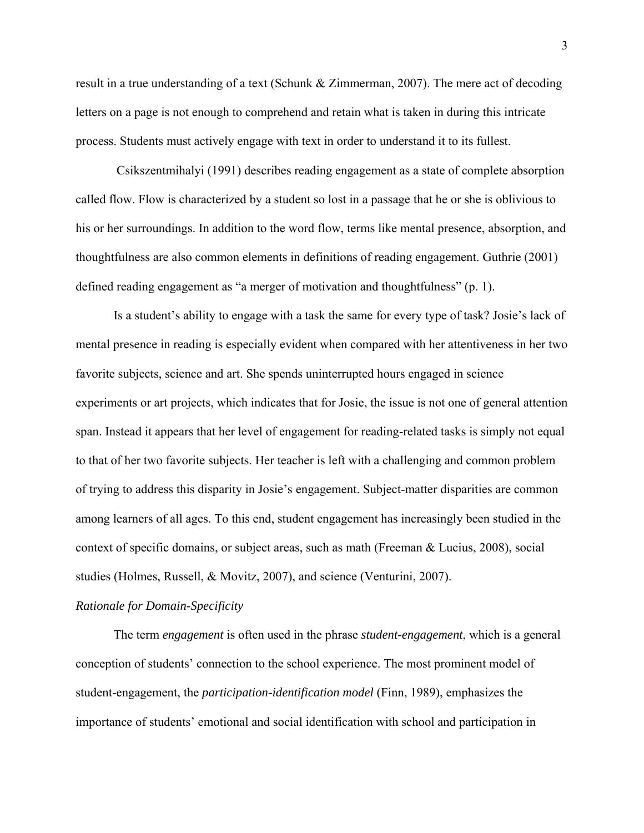result in a true understanding of a text (Schunk & Zimmerman, 2007). The mere act of decoding letters on a page is not enough to comprehend and retain what is taken in during this intricate process. Students must actively engage with text in order to understand it to its fullest.

 Csikszentmihalyi (1991) describes reading engagement as a state of complete absorption called flow. Flow is characterized by a student so lost in a passage that he or she is oblivious to his or her surroundings. In addition to the word flow, terms like mental presence, absorption, and thoughtfulness are also common elements in definitions of reading engagement. Guthrie (2001) defined reading engagement as "a merger of motivation and thoughtfulness" (p. 1).

Is a student's ability to engage with a task the same for every type of task? Josie's lack of mental presence in reading is especially evident when compared with her attentiveness in her two favorite subjects, science and art. She spends uninterrupted hours engaged in science experiments or art projects, which indicates that for Josie, the issue is not one of general attention span. Instead it appears that her level of engagement for reading-related tasks is simply not equal to that of her two favorite subjects. Her teacher is left with a challenging and common problem of trying to address this disparity in Josie's engagement. Subject-matter disparities are common among learners of all ages. To this end, student engagement has increasingly been studied in the context of specific domains, or subject areas, such as math (Freeman & Lucius, 2008), social studies (Holmes, Russell, & Movitz, 2007), and science (Venturini, 2007).

### *Rationale for Domain-Specificity*

The term *engagement* is often used in the phrase *student-engagement*, which is a general conception of students' connection to the school experience. The most prominent model of student-engagement, the *participation-identification model* (Finn, 1989), emphasizes the importance of students' emotional and social identification with school and participation in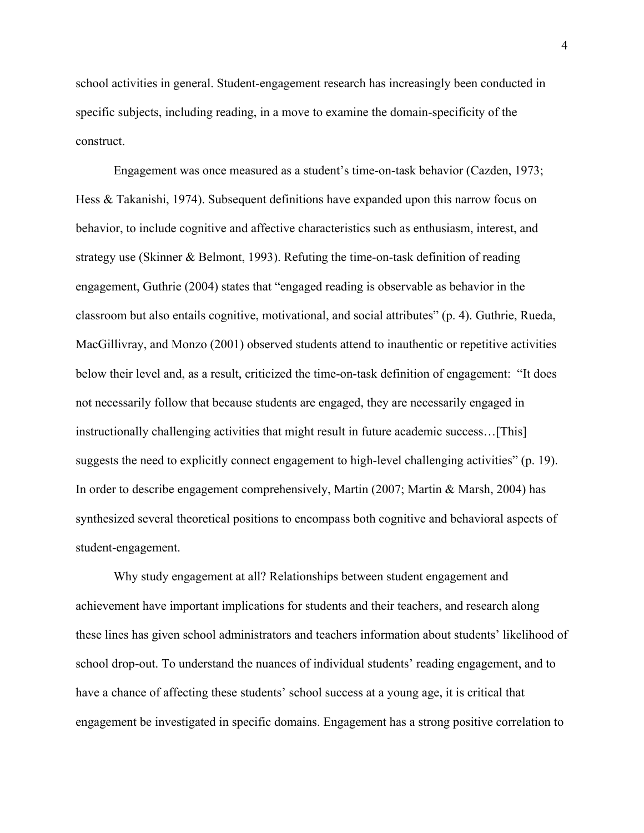school activities in general. Student-engagement research has increasingly been conducted in specific subjects, including reading, in a move to examine the domain-specificity of the construct.

Engagement was once measured as a student's time-on-task behavior (Cazden, 1973; Hess & Takanishi, 1974). Subsequent definitions have expanded upon this narrow focus on behavior, to include cognitive and affective characteristics such as enthusiasm, interest, and strategy use (Skinner & Belmont, 1993). Refuting the time-on-task definition of reading engagement, Guthrie (2004) states that "engaged reading is observable as behavior in the classroom but also entails cognitive, motivational, and social attributes" (p. 4). Guthrie, Rueda, MacGillivray, and Monzo (2001) observed students attend to inauthentic or repetitive activities below their level and, as a result, criticized the time-on-task definition of engagement: "It does not necessarily follow that because students are engaged, they are necessarily engaged in instructionally challenging activities that might result in future academic success…[This] suggests the need to explicitly connect engagement to high-level challenging activities" (p. 19). In order to describe engagement comprehensively, Martin (2007; Martin & Marsh, 2004) has synthesized several theoretical positions to encompass both cognitive and behavioral aspects of student-engagement.

Why study engagement at all? Relationships between student engagement and achievement have important implications for students and their teachers, and research along these lines has given school administrators and teachers information about students' likelihood of school drop-out. To understand the nuances of individual students' reading engagement, and to have a chance of affecting these students' school success at a young age, it is critical that engagement be investigated in specific domains. Engagement has a strong positive correlation to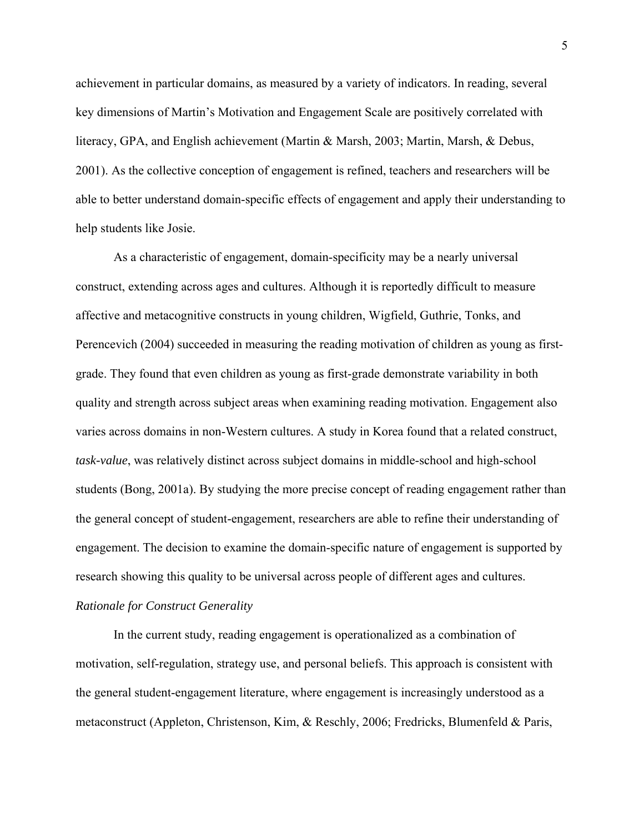achievement in particular domains, as measured by a variety of indicators. In reading, several key dimensions of Martin's Motivation and Engagement Scale are positively correlated with literacy, GPA, and English achievement (Martin & Marsh, 2003; Martin, Marsh, & Debus, 2001). As the collective conception of engagement is refined, teachers and researchers will be able to better understand domain-specific effects of engagement and apply their understanding to help students like Josie.

As a characteristic of engagement, domain-specificity may be a nearly universal construct, extending across ages and cultures. Although it is reportedly difficult to measure affective and metacognitive constructs in young children, Wigfield, Guthrie, Tonks, and Perencevich (2004) succeeded in measuring the reading motivation of children as young as firstgrade. They found that even children as young as first-grade demonstrate variability in both quality and strength across subject areas when examining reading motivation. Engagement also varies across domains in non-Western cultures. A study in Korea found that a related construct, *task-value*, was relatively distinct across subject domains in middle-school and high-school students (Bong, 2001a). By studying the more precise concept of reading engagement rather than the general concept of student-engagement, researchers are able to refine their understanding of engagement. The decision to examine the domain-specific nature of engagement is supported by research showing this quality to be universal across people of different ages and cultures.

### *Rationale for Construct Generality*

In the current study, reading engagement is operationalized as a combination of motivation, self-regulation, strategy use, and personal beliefs. This approach is consistent with the general student-engagement literature, where engagement is increasingly understood as a metaconstruct (Appleton, Christenson, Kim, & Reschly, 2006; Fredricks, Blumenfeld & Paris,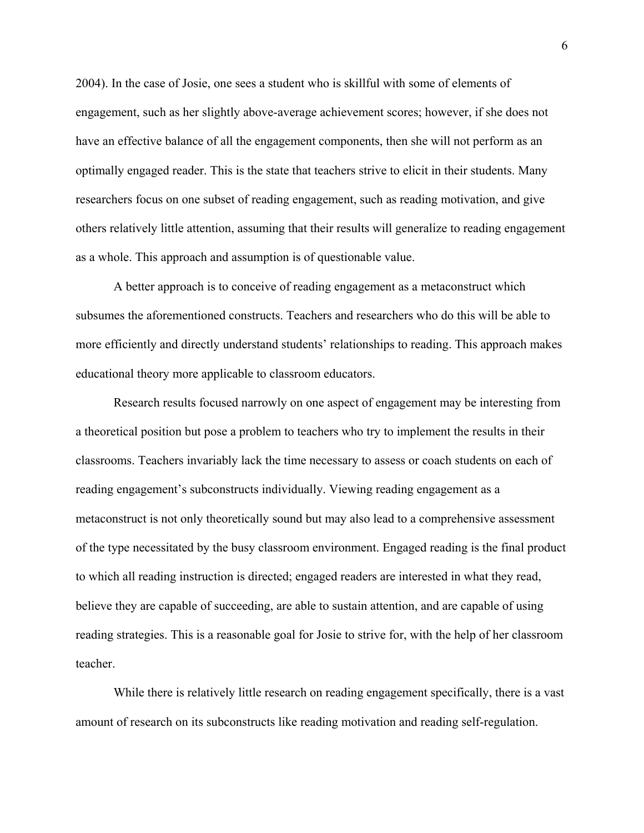2004). In the case of Josie, one sees a student who is skillful with some of elements of engagement, such as her slightly above-average achievement scores; however, if she does not have an effective balance of all the engagement components, then she will not perform as an optimally engaged reader. This is the state that teachers strive to elicit in their students. Many researchers focus on one subset of reading engagement, such as reading motivation, and give others relatively little attention, assuming that their results will generalize to reading engagement as a whole. This approach and assumption is of questionable value.

A better approach is to conceive of reading engagement as a metaconstruct which subsumes the aforementioned constructs. Teachers and researchers who do this will be able to more efficiently and directly understand students' relationships to reading. This approach makes educational theory more applicable to classroom educators.

Research results focused narrowly on one aspect of engagement may be interesting from a theoretical position but pose a problem to teachers who try to implement the results in their classrooms. Teachers invariably lack the time necessary to assess or coach students on each of reading engagement's subconstructs individually. Viewing reading engagement as a metaconstruct is not only theoretically sound but may also lead to a comprehensive assessment of the type necessitated by the busy classroom environment. Engaged reading is the final product to which all reading instruction is directed; engaged readers are interested in what they read, believe they are capable of succeeding, are able to sustain attention, and are capable of using reading strategies. This is a reasonable goal for Josie to strive for, with the help of her classroom teacher.

While there is relatively little research on reading engagement specifically, there is a vast amount of research on its subconstructs like reading motivation and reading self-regulation.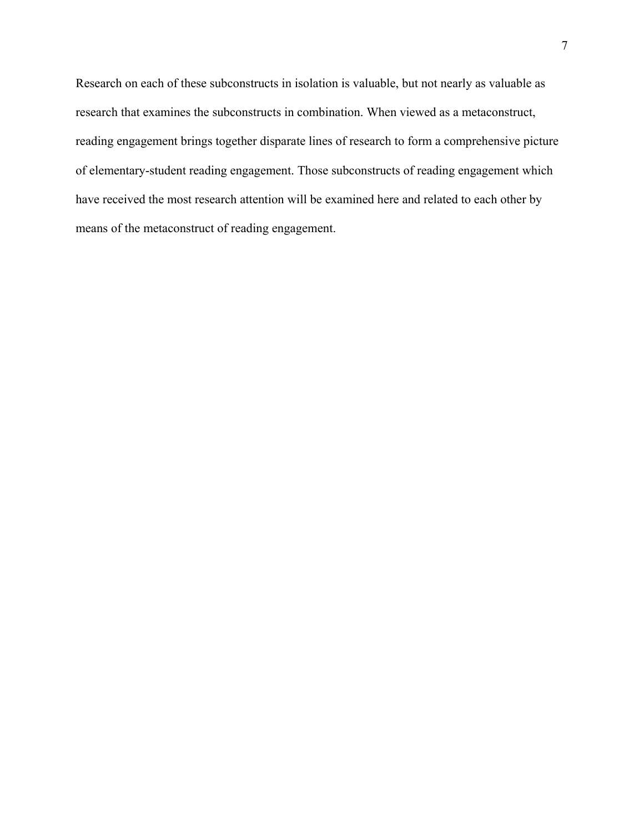Research on each of these subconstructs in isolation is valuable, but not nearly as valuable as research that examines the subconstructs in combination. When viewed as a metaconstruct, reading engagement brings together disparate lines of research to form a comprehensive picture of elementary-student reading engagement. Those subconstructs of reading engagement which have received the most research attention will be examined here and related to each other by means of the metaconstruct of reading engagement.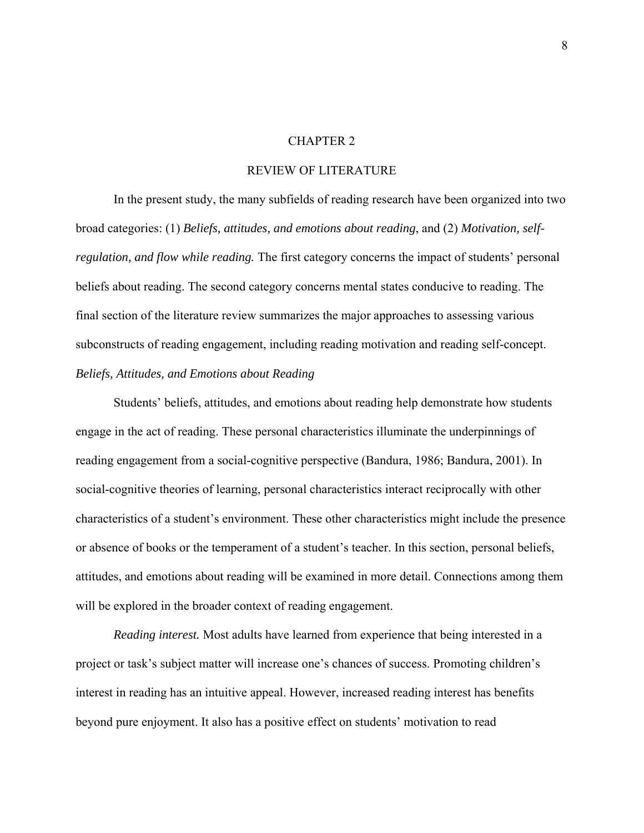### CHAPTER 2

### REVIEW OF LITERATURE

In the present study, the many subfields of reading research have been organized into two broad categories: (1) *Beliefs, attitudes, and emotions about reading*, and (2) *Motivation, selfregulation, and flow while reading.* The first category concerns the impact of students' personal beliefs about reading. The second category concerns mental states conducive to reading. The final section of the literature review summarizes the major approaches to assessing various subconstructs of reading engagement, including reading motivation and reading self-concept. *Beliefs, Attitudes, and Emotions about Reading*

Students' beliefs, attitudes, and emotions about reading help demonstrate how students engage in the act of reading. These personal characteristics illuminate the underpinnings of reading engagement from a social-cognitive perspective (Bandura, 1986; Bandura, 2001). In social-cognitive theories of learning, personal characteristics interact reciprocally with other characteristics of a student's environment. These other characteristics might include the presence or absence of books or the temperament of a student's teacher. In this section, personal beliefs, attitudes, and emotions about reading will be examined in more detail. Connections among them will be explored in the broader context of reading engagement.

*Reading interest.* Most adults have learned from experience that being interested in a project or task's subject matter will increase one's chances of success. Promoting children's interest in reading has an intuitive appeal. However, increased reading interest has benefits beyond pure enjoyment. It also has a positive effect on students' motivation to read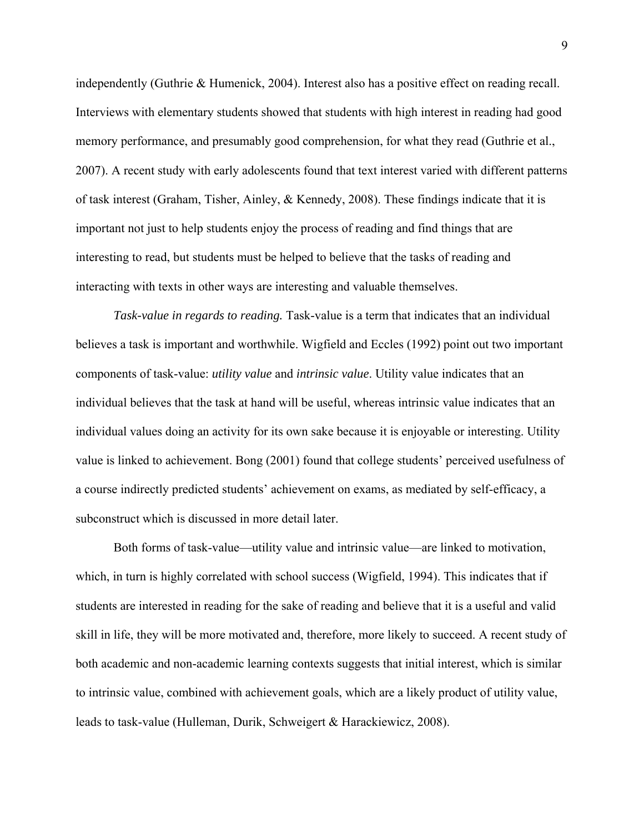independently (Guthrie & Humenick, 2004). Interest also has a positive effect on reading recall. Interviews with elementary students showed that students with high interest in reading had good memory performance, and presumably good comprehension, for what they read (Guthrie et al., 2007). A recent study with early adolescents found that text interest varied with different patterns of task interest (Graham, Tisher, Ainley, & Kennedy, 2008). These findings indicate that it is important not just to help students enjoy the process of reading and find things that are interesting to read, but students must be helped to believe that the tasks of reading and interacting with texts in other ways are interesting and valuable themselves.

*Task-value in regards to reading.* Task-value is a term that indicates that an individual believes a task is important and worthwhile. Wigfield and Eccles (1992) point out two important components of task-value: *utility value* and *intrinsic value*. Utility value indicates that an individual believes that the task at hand will be useful, whereas intrinsic value indicates that an individual values doing an activity for its own sake because it is enjoyable or interesting. Utility value is linked to achievement. Bong (2001) found that college students' perceived usefulness of a course indirectly predicted students' achievement on exams, as mediated by self-efficacy, a subconstruct which is discussed in more detail later.

Both forms of task-value—utility value and intrinsic value—are linked to motivation, which, in turn is highly correlated with school success (Wigfield, 1994). This indicates that if students are interested in reading for the sake of reading and believe that it is a useful and valid skill in life, they will be more motivated and, therefore, more likely to succeed. A recent study of both academic and non-academic learning contexts suggests that initial interest, which is similar to intrinsic value, combined with achievement goals, which are a likely product of utility value, leads to task-value (Hulleman, Durik, Schweigert & Harackiewicz, 2008).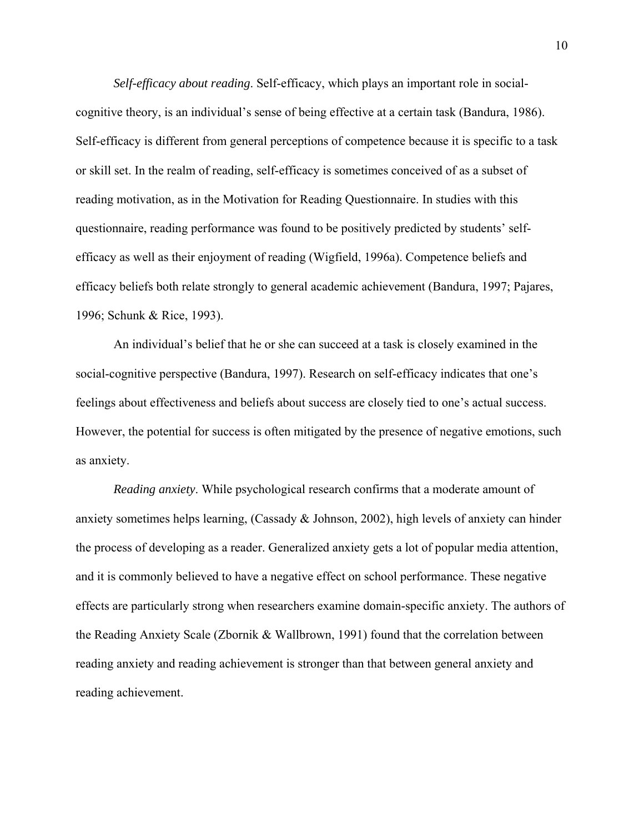*Self-efficacy about reading*. Self-efficacy, which plays an important role in socialcognitive theory, is an individual's sense of being effective at a certain task (Bandura, 1986). Self-efficacy is different from general perceptions of competence because it is specific to a task or skill set. In the realm of reading, self-efficacy is sometimes conceived of as a subset of reading motivation, as in the Motivation for Reading Questionnaire. In studies with this questionnaire, reading performance was found to be positively predicted by students' selfefficacy as well as their enjoyment of reading (Wigfield, 1996a). Competence beliefs and efficacy beliefs both relate strongly to general academic achievement (Bandura, 1997; Pajares, 1996; Schunk & Rice, 1993).

An individual's belief that he or she can succeed at a task is closely examined in the social-cognitive perspective (Bandura, 1997). Research on self-efficacy indicates that one's feelings about effectiveness and beliefs about success are closely tied to one's actual success. However, the potential for success is often mitigated by the presence of negative emotions, such as anxiety.

*Reading anxiety*. While psychological research confirms that a moderate amount of anxiety sometimes helps learning, (Cassady & Johnson, 2002), high levels of anxiety can hinder the process of developing as a reader. Generalized anxiety gets a lot of popular media attention, and it is commonly believed to have a negative effect on school performance. These negative effects are particularly strong when researchers examine domain-specific anxiety. The authors of the Reading Anxiety Scale (Zbornik & Wallbrown, 1991) found that the correlation between reading anxiety and reading achievement is stronger than that between general anxiety and reading achievement.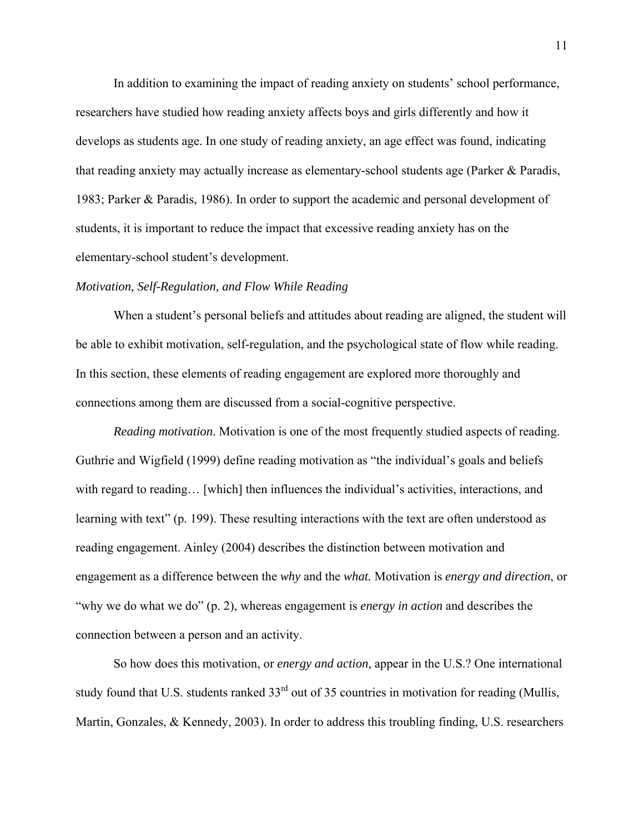In addition to examining the impact of reading anxiety on students' school performance, researchers have studied how reading anxiety affects boys and girls differently and how it develops as students age. In one study of reading anxiety, an age effect was found, indicating that reading anxiety may actually increase as elementary-school students age (Parker & Paradis, 1983; Parker & Paradis, 1986). In order to support the academic and personal development of students, it is important to reduce the impact that excessive reading anxiety has on the elementary-school student's development.

#### *Motivation, Self-Regulation, and Flow While Reading*

When a student's personal beliefs and attitudes about reading are aligned, the student will be able to exhibit motivation, self-regulation, and the psychological state of flow while reading. In this section, these elements of reading engagement are explored more thoroughly and connections among them are discussed from a social-cognitive perspective.

*Reading motivation*. Motivation is one of the most frequently studied aspects of reading. Guthrie and Wigfield (1999) define reading motivation as "the individual's goals and beliefs with regard to reading… [which] then influences the individual's activities, interactions, and learning with text" (p. 199). These resulting interactions with the text are often understood as reading engagement. Ainley (2004) describes the distinction between motivation and engagement as a difference between the *why* and the *what.* Motivation is *energy and direction*, or "why we do what we do" (p. 2), whereas engagement is *energy in action* and describes the connection between a person and an activity.

So how does this motivation, or *energy and action,* appear in the U.S.? One international study found that U.S. students ranked 33<sup>rd</sup> out of 35 countries in motivation for reading (Mullis, Martin, Gonzales, & Kennedy, 2003). In order to address this troubling finding, U.S. researchers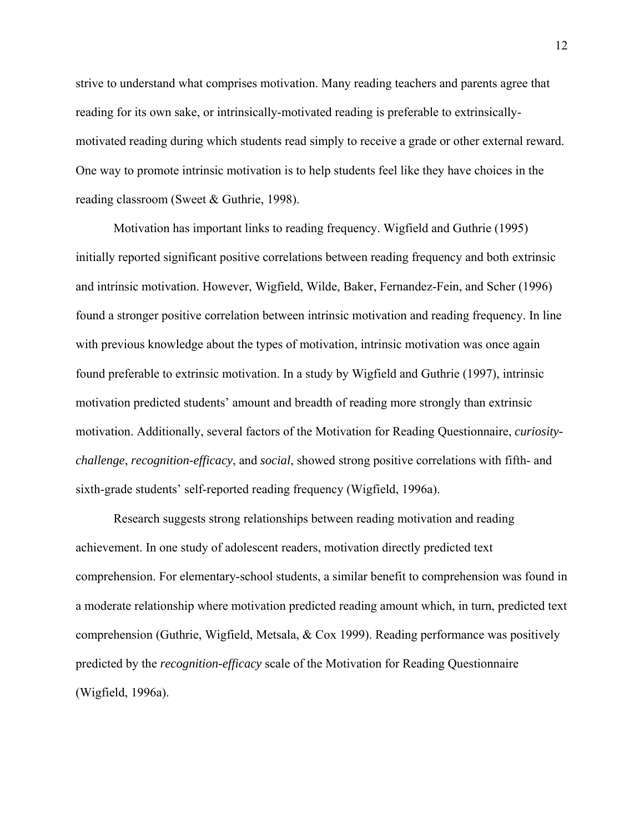strive to understand what comprises motivation. Many reading teachers and parents agree that reading for its own sake, or intrinsically-motivated reading is preferable to extrinsicallymotivated reading during which students read simply to receive a grade or other external reward. One way to promote intrinsic motivation is to help students feel like they have choices in the reading classroom (Sweet & Guthrie, 1998).

Motivation has important links to reading frequency. Wigfield and Guthrie (1995) initially reported significant positive correlations between reading frequency and both extrinsic and intrinsic motivation. However, Wigfield, Wilde, Baker, Fernandez-Fein, and Scher (1996) found a stronger positive correlation between intrinsic motivation and reading frequency. In line with previous knowledge about the types of motivation, intrinsic motivation was once again found preferable to extrinsic motivation. In a study by Wigfield and Guthrie (1997), intrinsic motivation predicted students' amount and breadth of reading more strongly than extrinsic motivation. Additionally, several factors of the Motivation for Reading Questionnaire, *curiositychallenge*, *recognition-efficacy*, and *social*, showed strong positive correlations with fifth- and sixth-grade students' self-reported reading frequency (Wigfield, 1996a).

Research suggests strong relationships between reading motivation and reading achievement. In one study of adolescent readers, motivation directly predicted text comprehension. For elementary-school students, a similar benefit to comprehension was found in a moderate relationship where motivation predicted reading amount which, in turn, predicted text comprehension (Guthrie, Wigfield, Metsala, & Cox 1999). Reading performance was positively predicted by the *recognition-efficacy* scale of the Motivation for Reading Questionnaire (Wigfield, 1996a).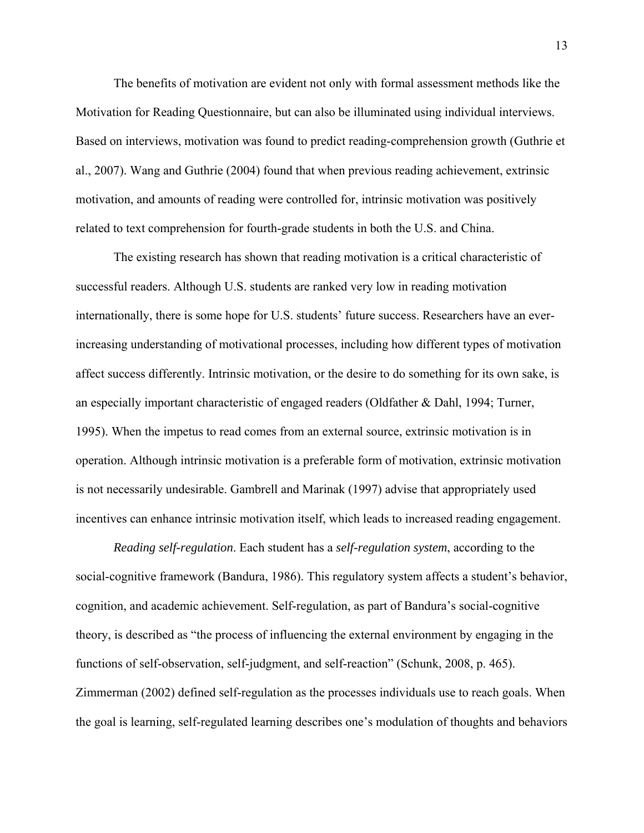The benefits of motivation are evident not only with formal assessment methods like the Motivation for Reading Questionnaire, but can also be illuminated using individual interviews. Based on interviews, motivation was found to predict reading-comprehension growth (Guthrie et al., 2007). Wang and Guthrie (2004) found that when previous reading achievement, extrinsic motivation, and amounts of reading were controlled for, intrinsic motivation was positively related to text comprehension for fourth-grade students in both the U.S. and China.

The existing research has shown that reading motivation is a critical characteristic of successful readers. Although U.S. students are ranked very low in reading motivation internationally, there is some hope for U.S. students' future success. Researchers have an everincreasing understanding of motivational processes, including how different types of motivation affect success differently. Intrinsic motivation, or the desire to do something for its own sake, is an especially important characteristic of engaged readers (Oldfather & Dahl, 1994; Turner, 1995). When the impetus to read comes from an external source, extrinsic motivation is in operation. Although intrinsic motivation is a preferable form of motivation, extrinsic motivation is not necessarily undesirable. Gambrell and Marinak (1997) advise that appropriately used incentives can enhance intrinsic motivation itself, which leads to increased reading engagement.

*Reading self-regulation*. Each student has a *self-regulation system*, according to the social-cognitive framework (Bandura, 1986). This regulatory system affects a student's behavior, cognition, and academic achievement. Self-regulation, as part of Bandura's social-cognitive theory, is described as "the process of influencing the external environment by engaging in the functions of self-observation, self-judgment, and self-reaction" (Schunk, 2008, p. 465). Zimmerman (2002) defined self-regulation as the processes individuals use to reach goals. When the goal is learning, self-regulated learning describes one's modulation of thoughts and behaviors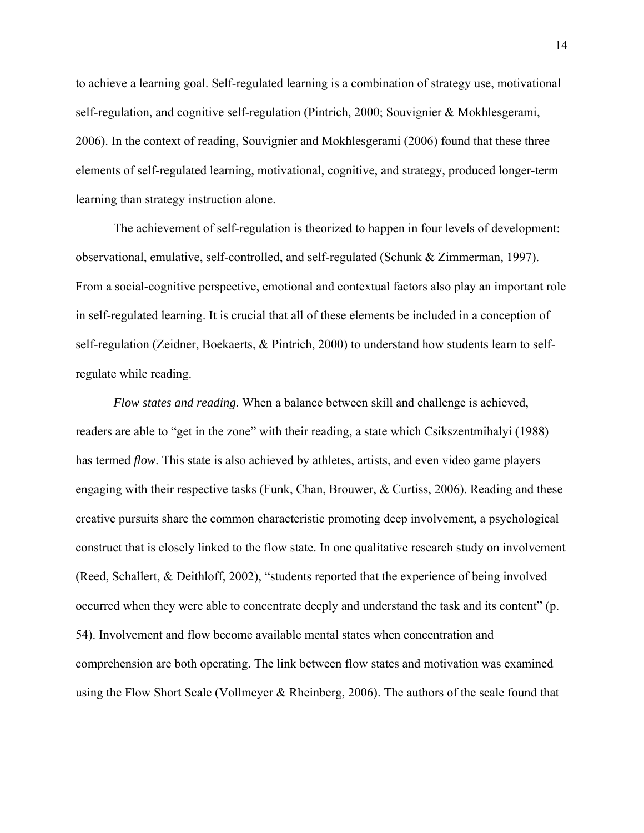to achieve a learning goal. Self-regulated learning is a combination of strategy use, motivational self-regulation, and cognitive self-regulation (Pintrich, 2000; Souvignier & Mokhlesgerami, 2006). In the context of reading, Souvignier and Mokhlesgerami (2006) found that these three elements of self-regulated learning, motivational, cognitive, and strategy, produced longer-term learning than strategy instruction alone.

The achievement of self-regulation is theorized to happen in four levels of development: observational, emulative, self-controlled, and self-regulated (Schunk & Zimmerman, 1997). From a social-cognitive perspective, emotional and contextual factors also play an important role in self-regulated learning. It is crucial that all of these elements be included in a conception of self-regulation (Zeidner, Boekaerts, & Pintrich, 2000) to understand how students learn to selfregulate while reading.

*Flow states and reading*. When a balance between skill and challenge is achieved, readers are able to "get in the zone" with their reading, a state which Csikszentmihalyi (1988) has termed *flow*. This state is also achieved by athletes, artists, and even video game players engaging with their respective tasks (Funk, Chan, Brouwer, & Curtiss, 2006). Reading and these creative pursuits share the common characteristic promoting deep involvement, a psychological construct that is closely linked to the flow state. In one qualitative research study on involvement (Reed, Schallert, & Deithloff, 2002), "students reported that the experience of being involved occurred when they were able to concentrate deeply and understand the task and its content" (p. 54). Involvement and flow become available mental states when concentration and comprehension are both operating. The link between flow states and motivation was examined using the Flow Short Scale (Vollmeyer & Rheinberg, 2006). The authors of the scale found that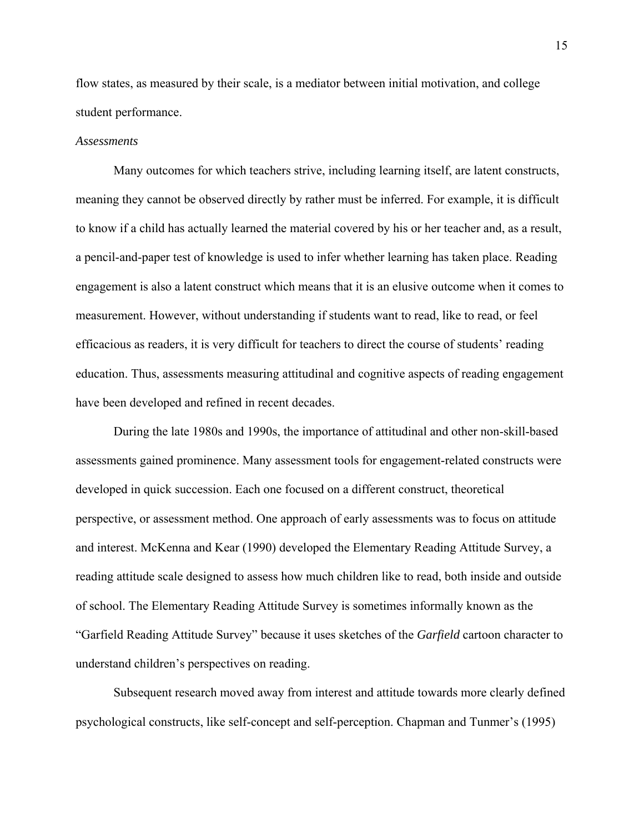flow states, as measured by their scale, is a mediator between initial motivation, and college student performance.

#### *Assessments*

Many outcomes for which teachers strive, including learning itself, are latent constructs, meaning they cannot be observed directly by rather must be inferred. For example, it is difficult to know if a child has actually learned the material covered by his or her teacher and, as a result, a pencil-and-paper test of knowledge is used to infer whether learning has taken place. Reading engagement is also a latent construct which means that it is an elusive outcome when it comes to measurement. However, without understanding if students want to read, like to read, or feel efficacious as readers, it is very difficult for teachers to direct the course of students' reading education. Thus, assessments measuring attitudinal and cognitive aspects of reading engagement have been developed and refined in recent decades.

During the late 1980s and 1990s, the importance of attitudinal and other non-skill-based assessments gained prominence. Many assessment tools for engagement-related constructs were developed in quick succession. Each one focused on a different construct, theoretical perspective, or assessment method. One approach of early assessments was to focus on attitude and interest. McKenna and Kear (1990) developed the Elementary Reading Attitude Survey, a reading attitude scale designed to assess how much children like to read, both inside and outside of school. The Elementary Reading Attitude Survey is sometimes informally known as the "Garfield Reading Attitude Survey" because it uses sketches of the *Garfield* cartoon character to understand children's perspectives on reading.

Subsequent research moved away from interest and attitude towards more clearly defined psychological constructs, like self-concept and self-perception. Chapman and Tunmer's (1995)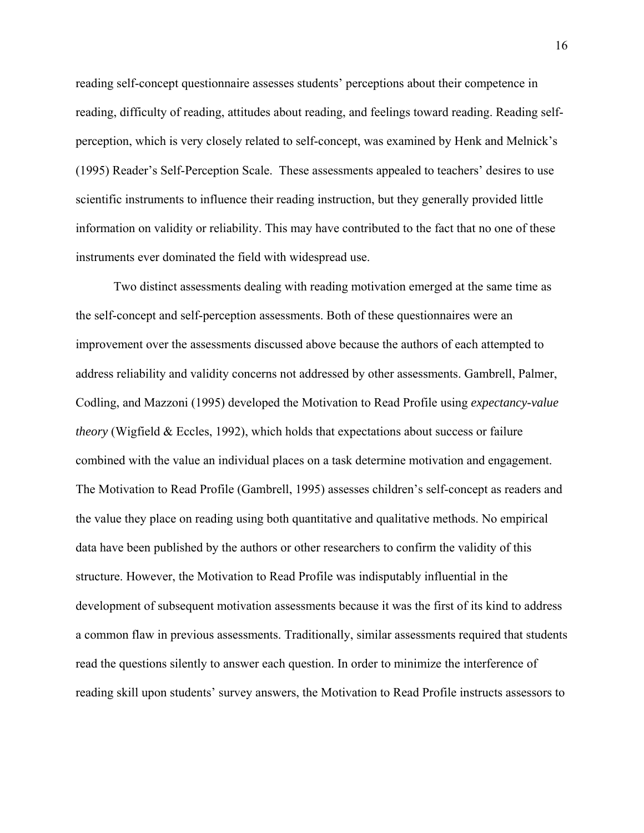reading self-concept questionnaire assesses students' perceptions about their competence in reading, difficulty of reading, attitudes about reading, and feelings toward reading. Reading selfperception, which is very closely related to self-concept, was examined by Henk and Melnick's (1995) Reader's Self-Perception Scale. These assessments appealed to teachers' desires to use scientific instruments to influence their reading instruction, but they generally provided little information on validity or reliability. This may have contributed to the fact that no one of these instruments ever dominated the field with widespread use.

Two distinct assessments dealing with reading motivation emerged at the same time as the self-concept and self-perception assessments. Both of these questionnaires were an improvement over the assessments discussed above because the authors of each attempted to address reliability and validity concerns not addressed by other assessments. Gambrell, Palmer, Codling, and Mazzoni (1995) developed the Motivation to Read Profile using *expectancy-value theory* (Wigfield & Eccles, 1992), which holds that expectations about success or failure combined with the value an individual places on a task determine motivation and engagement. The Motivation to Read Profile (Gambrell, 1995) assesses children's self-concept as readers and the value they place on reading using both quantitative and qualitative methods. No empirical data have been published by the authors or other researchers to confirm the validity of this structure. However, the Motivation to Read Profile was indisputably influential in the development of subsequent motivation assessments because it was the first of its kind to address a common flaw in previous assessments. Traditionally, similar assessments required that students read the questions silently to answer each question. In order to minimize the interference of reading skill upon students' survey answers, the Motivation to Read Profile instructs assessors to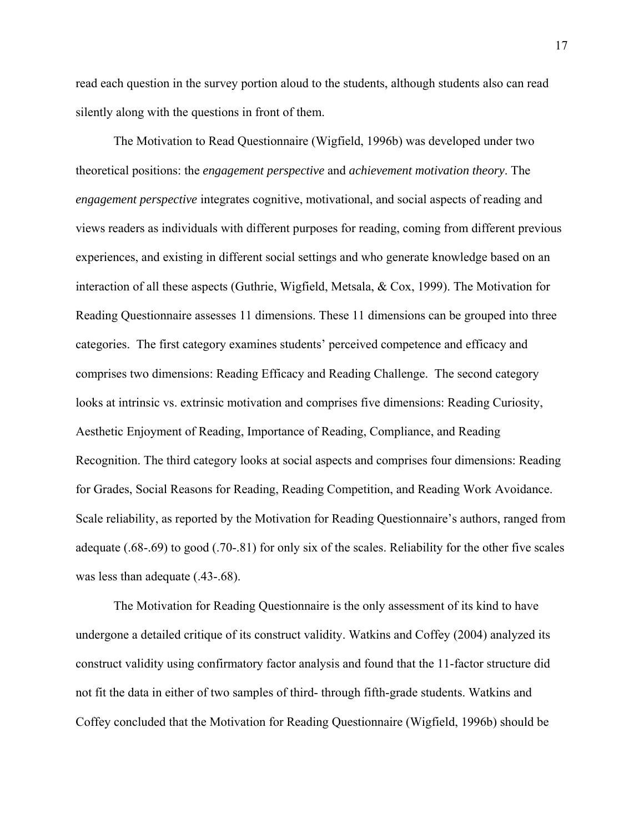read each question in the survey portion aloud to the students, although students also can read silently along with the questions in front of them.

The Motivation to Read Questionnaire (Wigfield, 1996b) was developed under two theoretical positions: the *engagement perspective* and *achievement motivation theory*. The *engagement perspective* integrates cognitive, motivational, and social aspects of reading and views readers as individuals with different purposes for reading, coming from different previous experiences, and existing in different social settings and who generate knowledge based on an interaction of all these aspects (Guthrie, Wigfield, Metsala, & Cox, 1999). The Motivation for Reading Questionnaire assesses 11 dimensions. These 11 dimensions can be grouped into three categories. The first category examines students' perceived competence and efficacy and comprises two dimensions: Reading Efficacy and Reading Challenge. The second category looks at intrinsic vs. extrinsic motivation and comprises five dimensions: Reading Curiosity, Aesthetic Enjoyment of Reading, Importance of Reading, Compliance, and Reading Recognition. The third category looks at social aspects and comprises four dimensions: Reading for Grades, Social Reasons for Reading, Reading Competition, and Reading Work Avoidance. Scale reliability, as reported by the Motivation for Reading Questionnaire's authors, ranged from adequate (.68-.69) to good (.70-.81) for only six of the scales. Reliability for the other five scales was less than adequate (.43-.68).

The Motivation for Reading Questionnaire is the only assessment of its kind to have undergone a detailed critique of its construct validity. Watkins and Coffey (2004) analyzed its construct validity using confirmatory factor analysis and found that the 11-factor structure did not fit the data in either of two samples of third- through fifth-grade students. Watkins and Coffey concluded that the Motivation for Reading Questionnaire (Wigfield, 1996b) should be

17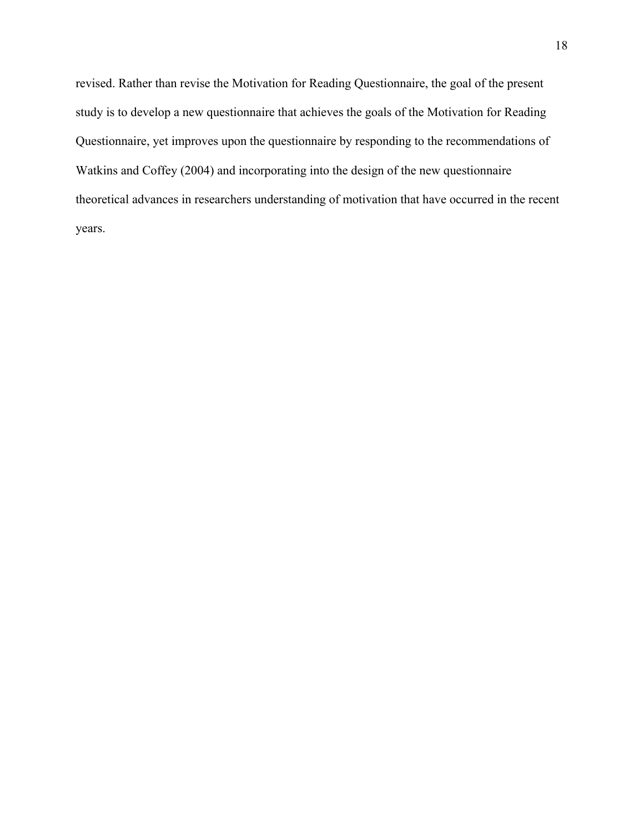revised. Rather than revise the Motivation for Reading Questionnaire, the goal of the present study is to develop a new questionnaire that achieves the goals of the Motivation for Reading Questionnaire, yet improves upon the questionnaire by responding to the recommendations of Watkins and Coffey (2004) and incorporating into the design of the new questionnaire theoretical advances in researchers understanding of motivation that have occurred in the recent years.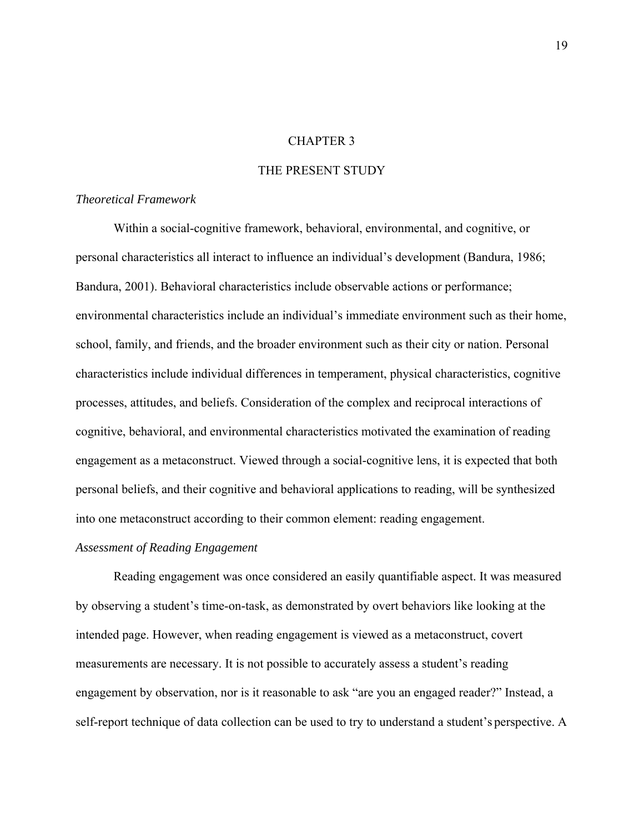### CHAPTER 3

### THE PRESENT STUDY

### *Theoretical Framework*

Within a social-cognitive framework, behavioral, environmental, and cognitive, or personal characteristics all interact to influence an individual's development (Bandura, 1986; Bandura, 2001). Behavioral characteristics include observable actions or performance; environmental characteristics include an individual's immediate environment such as their home, school, family, and friends, and the broader environment such as their city or nation. Personal characteristics include individual differences in temperament, physical characteristics, cognitive processes, attitudes, and beliefs. Consideration of the complex and reciprocal interactions of cognitive, behavioral, and environmental characteristics motivated the examination of reading engagement as a metaconstruct. Viewed through a social-cognitive lens, it is expected that both personal beliefs, and their cognitive and behavioral applications to reading, will be synthesized into one metaconstruct according to their common element: reading engagement.

### *Assessment of Reading Engagement*

Reading engagement was once considered an easily quantifiable aspect. It was measured by observing a student's time-on-task, as demonstrated by overt behaviors like looking at the intended page. However, when reading engagement is viewed as a metaconstruct, covert measurements are necessary. It is not possible to accurately assess a student's reading engagement by observation, nor is it reasonable to ask "are you an engaged reader?" Instead, a self-report technique of data collection can be used to try to understand a student's perspective. A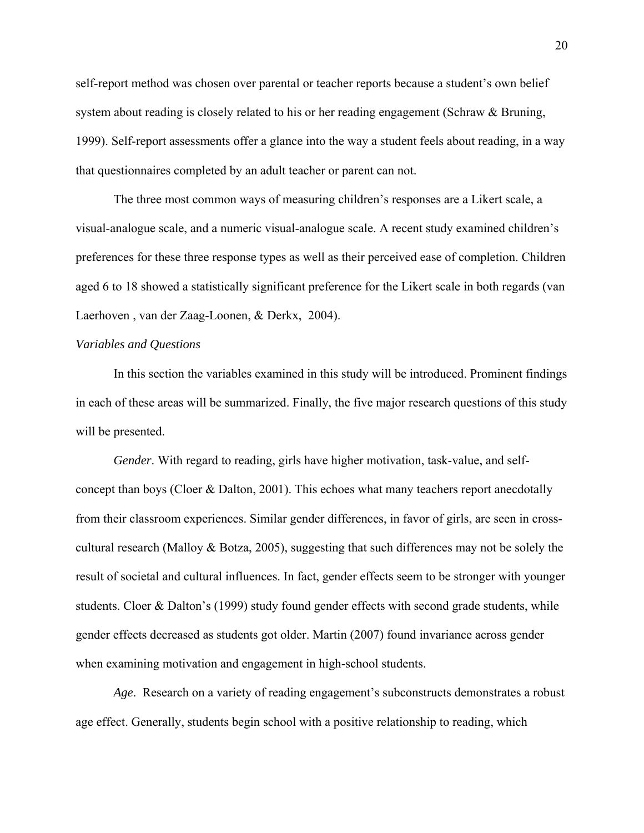self-report method was chosen over parental or teacher reports because a student's own belief system about reading is closely related to his or her reading engagement (Schraw & Bruning, 1999). Self-report assessments offer a glance into the way a student feels about reading, in a way that questionnaires completed by an adult teacher or parent can not.

The three most common ways of measuring children's responses are a Likert scale, a visual-analogue scale, and a numeric visual-analogue scale. A recent study examined children's preferences for these three response types as well as their perceived ease of completion. Children aged 6 to 18 showed a statistically significant preference for the Likert scale in both regards (van Laerhoven , van der Zaag-Loonen, & Derkx, 2004).

### *Variables and Questions*

 In this section the variables examined in this study will be introduced. Prominent findings in each of these areas will be summarized. Finally, the five major research questions of this study will be presented.

*Gender*. With regard to reading, girls have higher motivation, task-value, and selfconcept than boys (Cloer & Dalton, 2001). This echoes what many teachers report anecdotally from their classroom experiences. Similar gender differences, in favor of girls, are seen in crosscultural research (Malloy & Botza, 2005), suggesting that such differences may not be solely the result of societal and cultural influences. In fact, gender effects seem to be stronger with younger students. Cloer & Dalton's (1999) study found gender effects with second grade students, while gender effects decreased as students got older. Martin (2007) found invariance across gender when examining motivation and engagement in high-school students.

*Age*. Research on a variety of reading engagement's subconstructs demonstrates a robust age effect. Generally, students begin school with a positive relationship to reading, which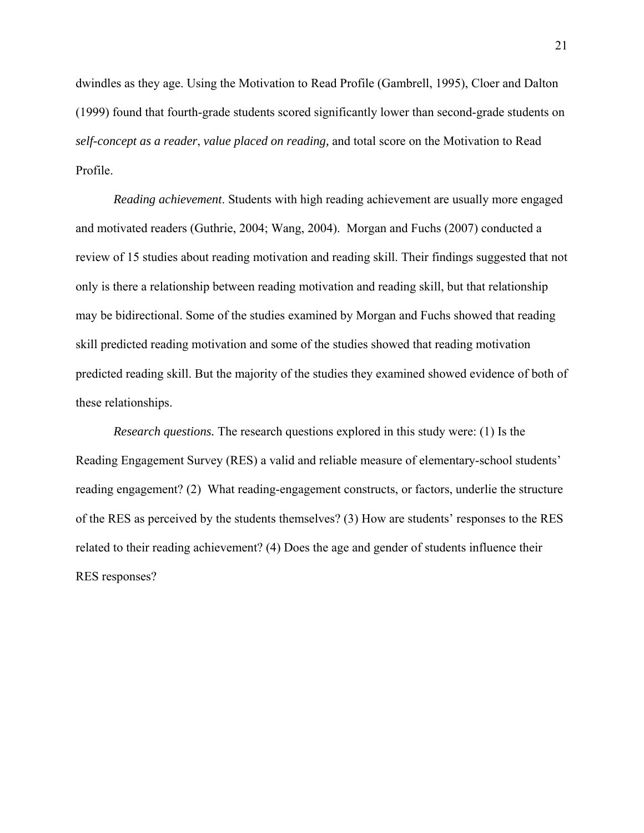dwindles as they age. Using the Motivation to Read Profile (Gambrell, 1995), Cloer and Dalton (1999) found that fourth-grade students scored significantly lower than second-grade students on *self-concept as a reader*, *value placed on reading,* and total score on the Motivation to Read Profile.

*Reading achievement*. Students with high reading achievement are usually more engaged and motivated readers (Guthrie, 2004; Wang, 2004). Morgan and Fuchs (2007) conducted a review of 15 studies about reading motivation and reading skill. Their findings suggested that not only is there a relationship between reading motivation and reading skill, but that relationship may be bidirectional. Some of the studies examined by Morgan and Fuchs showed that reading skill predicted reading motivation and some of the studies showed that reading motivation predicted reading skill. But the majority of the studies they examined showed evidence of both of these relationships.

*Research questions.* The research questions explored in this study were: (1) Is the Reading Engagement Survey (RES) a valid and reliable measure of elementary-school students' reading engagement? (2) What reading-engagement constructs, or factors, underlie the structure of the RES as perceived by the students themselves? (3) How are students' responses to the RES related to their reading achievement? (4) Does the age and gender of students influence their RES responses?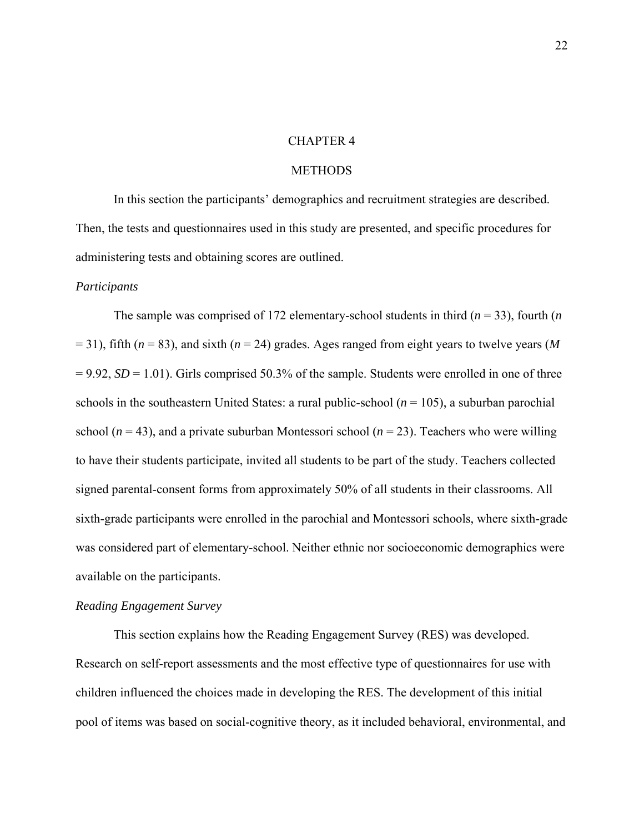### CHAPTER 4

### **METHODS**

 In this section the participants' demographics and recruitment strategies are described. Then, the tests and questionnaires used in this study are presented, and specific procedures for administering tests and obtaining scores are outlined.

#### *Participants*

The sample was comprised of 172 elementary-school students in third (*n* = 33), fourth (*n*  = 31), fifth (*n* = 83), and sixth (*n* = 24) grades. Ages ranged from eight years to twelve years (*M*  $= 9.92$ , *SD* = 1.01). Girls comprised 50.3% of the sample. Students were enrolled in one of three schools in the southeastern United States: a rural public-school  $(n = 105)$ , a suburban parochial school ( $n = 43$ ), and a private suburban Montessori school ( $n = 23$ ). Teachers who were willing to have their students participate, invited all students to be part of the study. Teachers collected signed parental-consent forms from approximately 50% of all students in their classrooms. All sixth-grade participants were enrolled in the parochial and Montessori schools, where sixth-grade was considered part of elementary-school. Neither ethnic nor socioeconomic demographics were available on the participants.

### *Reading Engagement Survey*

This section explains how the Reading Engagement Survey (RES) was developed. Research on self-report assessments and the most effective type of questionnaires for use with children influenced the choices made in developing the RES. The development of this initial pool of items was based on social-cognitive theory, as it included behavioral, environmental, and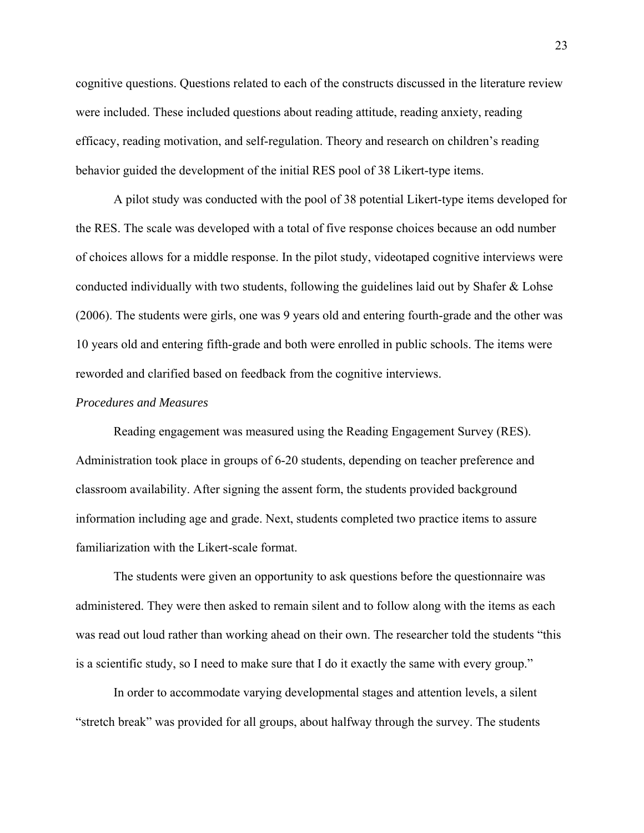cognitive questions. Questions related to each of the constructs discussed in the literature review were included. These included questions about reading attitude, reading anxiety, reading efficacy, reading motivation, and self-regulation. Theory and research on children's reading behavior guided the development of the initial RES pool of 38 Likert-type items.

A pilot study was conducted with the pool of 38 potential Likert-type items developed for the RES. The scale was developed with a total of five response choices because an odd number of choices allows for a middle response. In the pilot study, videotaped cognitive interviews were conducted individually with two students, following the guidelines laid out by Shafer & Lohse (2006). The students were girls, one was 9 years old and entering fourth-grade and the other was 10 years old and entering fifth-grade and both were enrolled in public schools. The items were reworded and clarified based on feedback from the cognitive interviews.

### *Procedures and Measures*

Reading engagement was measured using the Reading Engagement Survey (RES). Administration took place in groups of 6-20 students, depending on teacher preference and classroom availability. After signing the assent form, the students provided background information including age and grade. Next, students completed two practice items to assure familiarization with the Likert-scale format.

The students were given an opportunity to ask questions before the questionnaire was administered. They were then asked to remain silent and to follow along with the items as each was read out loud rather than working ahead on their own. The researcher told the students "this is a scientific study, so I need to make sure that I do it exactly the same with every group."

In order to accommodate varying developmental stages and attention levels, a silent "stretch break" was provided for all groups, about halfway through the survey. The students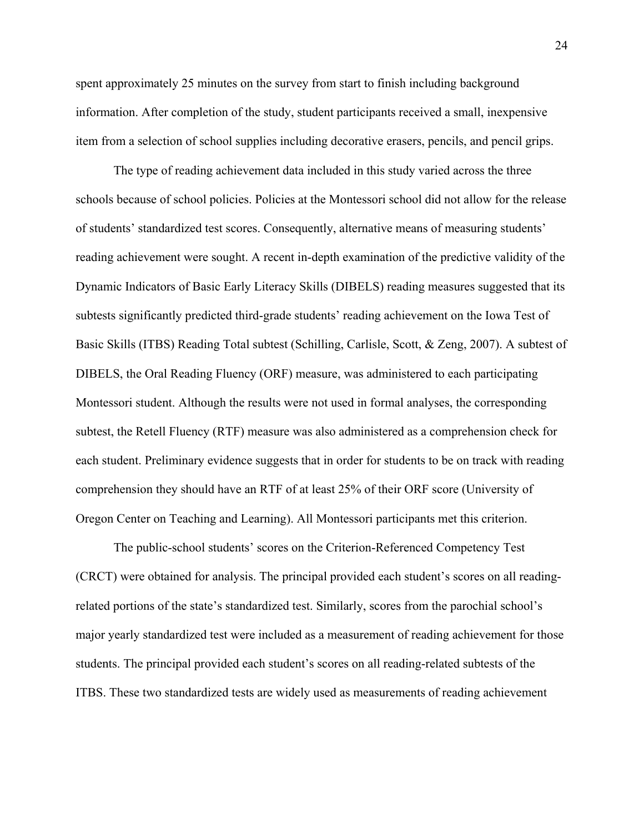spent approximately 25 minutes on the survey from start to finish including background information. After completion of the study, student participants received a small, inexpensive item from a selection of school supplies including decorative erasers, pencils, and pencil grips.

The type of reading achievement data included in this study varied across the three schools because of school policies. Policies at the Montessori school did not allow for the release of students' standardized test scores. Consequently, alternative means of measuring students' reading achievement were sought. A recent in-depth examination of the predictive validity of the Dynamic Indicators of Basic Early Literacy Skills (DIBELS) reading measures suggested that its subtests significantly predicted third-grade students' reading achievement on the Iowa Test of Basic Skills (ITBS) Reading Total subtest (Schilling, Carlisle, Scott, & Zeng, 2007). A subtest of DIBELS, the Oral Reading Fluency (ORF) measure, was administered to each participating Montessori student. Although the results were not used in formal analyses, the corresponding subtest, the Retell Fluency (RTF) measure was also administered as a comprehension check for each student. Preliminary evidence suggests that in order for students to be on track with reading comprehension they should have an RTF of at least 25% of their ORF score (University of Oregon Center on Teaching and Learning). All Montessori participants met this criterion.

The public-school students' scores on the Criterion-Referenced Competency Test (CRCT) were obtained for analysis. The principal provided each student's scores on all readingrelated portions of the state's standardized test. Similarly, scores from the parochial school's major yearly standardized test were included as a measurement of reading achievement for those students. The principal provided each student's scores on all reading-related subtests of the ITBS. These two standardized tests are widely used as measurements of reading achievement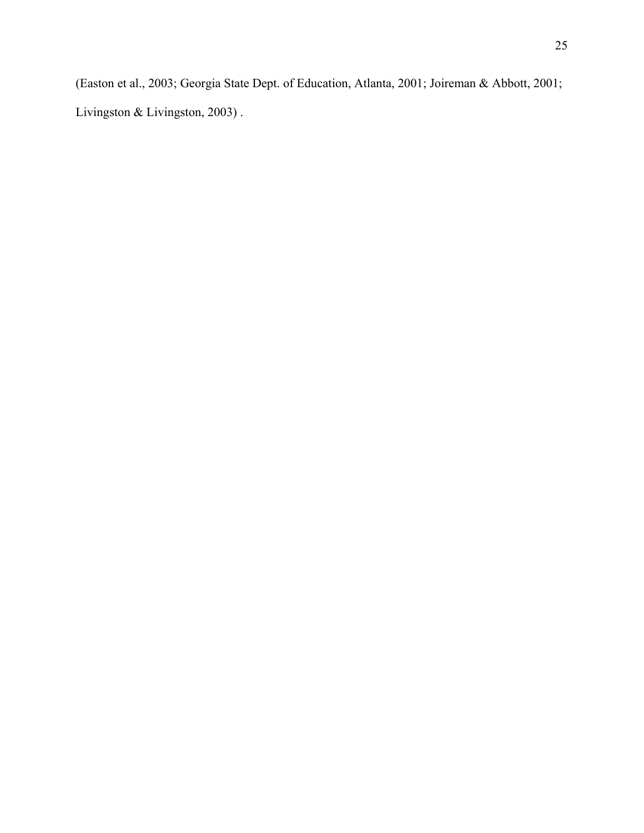(Easton et al., 2003; Georgia State Dept. of Education, Atlanta, 2001; Joireman & Abbott, 2001; Livingston & Livingston, 2003) .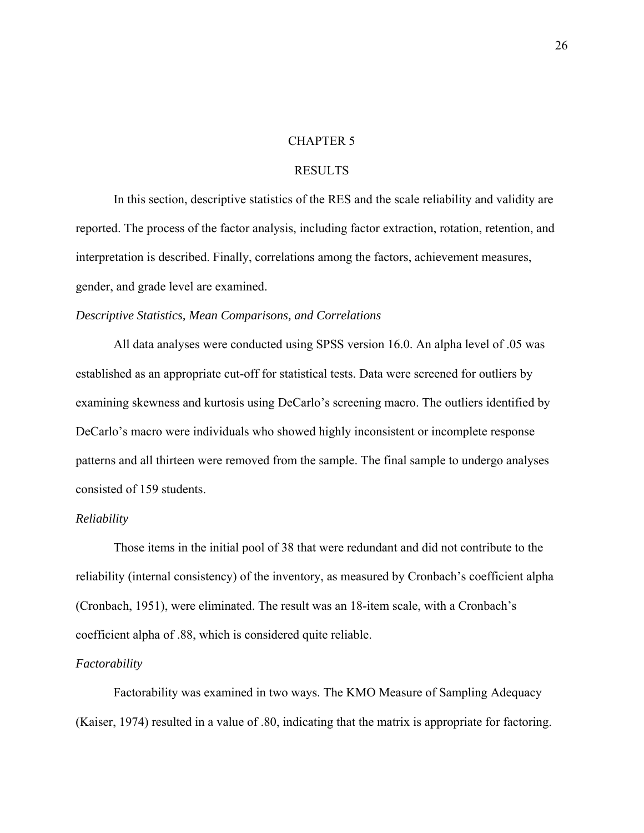### CHAPTER 5

### RESULTS

 In this section, descriptive statistics of the RES and the scale reliability and validity are reported. The process of the factor analysis, including factor extraction, rotation, retention, and interpretation is described. Finally, correlations among the factors, achievement measures, gender, and grade level are examined.

### *Descriptive Statistics, Mean Comparisons, and Correlations*

 All data analyses were conducted using SPSS version 16.0. An alpha level of .05 was established as an appropriate cut-off for statistical tests. Data were screened for outliers by examining skewness and kurtosis using DeCarlo's screening macro. The outliers identified by DeCarlo's macro were individuals who showed highly inconsistent or incomplete response patterns and all thirteen were removed from the sample. The final sample to undergo analyses consisted of 159 students.

#### *Reliability*

 Those items in the initial pool of 38 that were redundant and did not contribute to the reliability (internal consistency) of the inventory, as measured by Cronbach's coefficient alpha (Cronbach, 1951), were eliminated. The result was an 18-item scale, with a Cronbach's coefficient alpha of .88, which is considered quite reliable.

#### *Factorability*

Factorability was examined in two ways. The KMO Measure of Sampling Adequacy (Kaiser, 1974) resulted in a value of .80, indicating that the matrix is appropriate for factoring.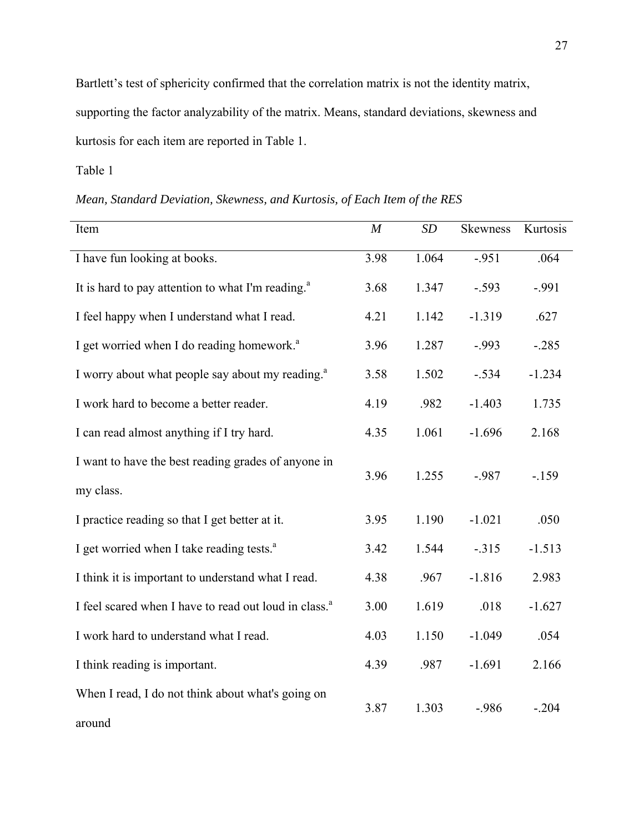Bartlett's test of sphericity confirmed that the correlation matrix is not the identity matrix, supporting the factor analyzability of the matrix. Means, standard deviations, skewness and kurtosis for each item are reported in Table 1.

Table 1

# *Mean, Standard Deviation, Skewness, and Kurtosis, of Each Item of the RES*

| Item                                                              | M    | SD    | <b>Skewness</b> | Kurtosis |
|-------------------------------------------------------------------|------|-------|-----------------|----------|
|                                                                   |      |       |                 |          |
| I have fun looking at books.                                      | 3.98 | 1.064 | $-.951$         | .064     |
| It is hard to pay attention to what I'm reading. <sup>a</sup>     | 3.68 | 1.347 | $-.593$         | $-.991$  |
| I feel happy when I understand what I read.                       | 4.21 | 1.142 | $-1.319$        | .627     |
| I get worried when I do reading homework. <sup>a</sup>            | 3.96 | 1.287 | $-.993$         | $-0.285$ |
| I worry about what people say about my reading. <sup>a</sup>      | 3.58 | 1.502 | $-.534$         | $-1.234$ |
| I work hard to become a better reader.                            | 4.19 | .982  | $-1.403$        | 1.735    |
| I can read almost anything if I try hard.                         | 4.35 | 1.061 | $-1.696$        | 2.168    |
| I want to have the best reading grades of anyone in               | 3.96 | 1.255 | $-.987$         | $-159$   |
| my class.                                                         |      |       |                 |          |
| I practice reading so that I get better at it.                    | 3.95 | 1.190 | $-1.021$        | .050     |
| I get worried when I take reading tests. <sup>a</sup>             | 3.42 | 1.544 | $-.315$         | $-1.513$ |
| I think it is important to understand what I read.                | 4.38 | .967  | $-1.816$        | 2.983    |
| I feel scared when I have to read out loud in class. <sup>a</sup> | 3.00 | 1.619 | .018            | $-1.627$ |
| I work hard to understand what I read.                            | 4.03 | 1.150 | $-1.049$        | .054     |
| I think reading is important.                                     | 4.39 | .987  | $-1.691$        | 2.166    |
| When I read, I do not think about what's going on                 | 3.87 | 1.303 | $-.986$         | $-.204$  |
| around                                                            |      |       |                 |          |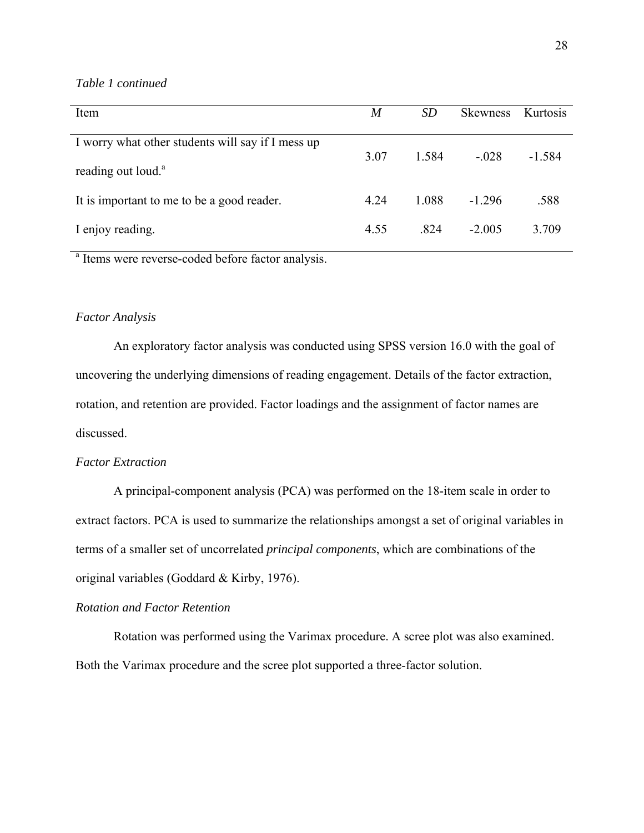#### *Table 1 continued*

| Item                                                                                | M    | <i>SD</i> | <b>Skewness</b> | Kurtosis |
|-------------------------------------------------------------------------------------|------|-----------|-----------------|----------|
| I worry what other students will say if I mess up<br>reading out loud. <sup>a</sup> | 3.07 | 1.584     | $-.028$         | $-1.584$ |
| It is important to me to be a good reader.                                          | 4.24 | 1.088     | $-1.296$        | .588     |
| I enjoy reading.                                                                    | 4.55 | .824      | $-2.005$        | 3.709    |

<sup>a</sup> Items were reverse-coded before factor analysis.

#### *Factor Analysis*

 An exploratory factor analysis was conducted using SPSS version 16.0 with the goal of uncovering the underlying dimensions of reading engagement. Details of the factor extraction, rotation, and retention are provided. Factor loadings and the assignment of factor names are discussed.

#### *Factor Extraction*

A principal-component analysis (PCA) was performed on the 18-item scale in order to extract factors. PCA is used to summarize the relationships amongst a set of original variables in terms of a smaller set of uncorrelated *principal components*, which are combinations of the original variables (Goddard & Kirby, 1976).

#### *Rotation and Factor Retention*

Rotation was performed using the Varimax procedure. A scree plot was also examined. Both the Varimax procedure and the scree plot supported a three-factor solution.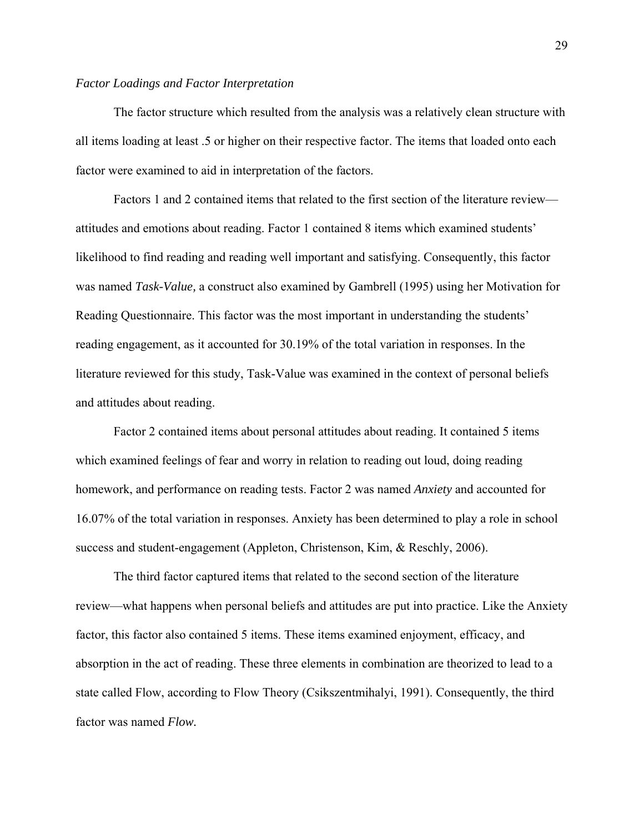#### *Factor Loadings and Factor Interpretation*

The factor structure which resulted from the analysis was a relatively clean structure with all items loading at least .5 or higher on their respective factor. The items that loaded onto each factor were examined to aid in interpretation of the factors.

Factors 1 and 2 contained items that related to the first section of the literature review attitudes and emotions about reading. Factor 1 contained 8 items which examined students' likelihood to find reading and reading well important and satisfying. Consequently, this factor was named *Task-Value,* a construct also examined by Gambrell (1995) using her Motivation for Reading Questionnaire. This factor was the most important in understanding the students' reading engagement, as it accounted for 30.19% of the total variation in responses. In the literature reviewed for this study, Task-Value was examined in the context of personal beliefs and attitudes about reading.

Factor 2 contained items about personal attitudes about reading. It contained 5 items which examined feelings of fear and worry in relation to reading out loud, doing reading homework, and performance on reading tests. Factor 2 was named *Anxiety* and accounted for 16.07% of the total variation in responses. Anxiety has been determined to play a role in school success and student-engagement (Appleton, Christenson, Kim, & Reschly, 2006).

 The third factor captured items that related to the second section of the literature review—what happens when personal beliefs and attitudes are put into practice. Like the Anxiety factor, this factor also contained 5 items. These items examined enjoyment, efficacy, and absorption in the act of reading. These three elements in combination are theorized to lead to a state called Flow, according to Flow Theory (Csikszentmihalyi, 1991). Consequently, the third factor was named *Flow.*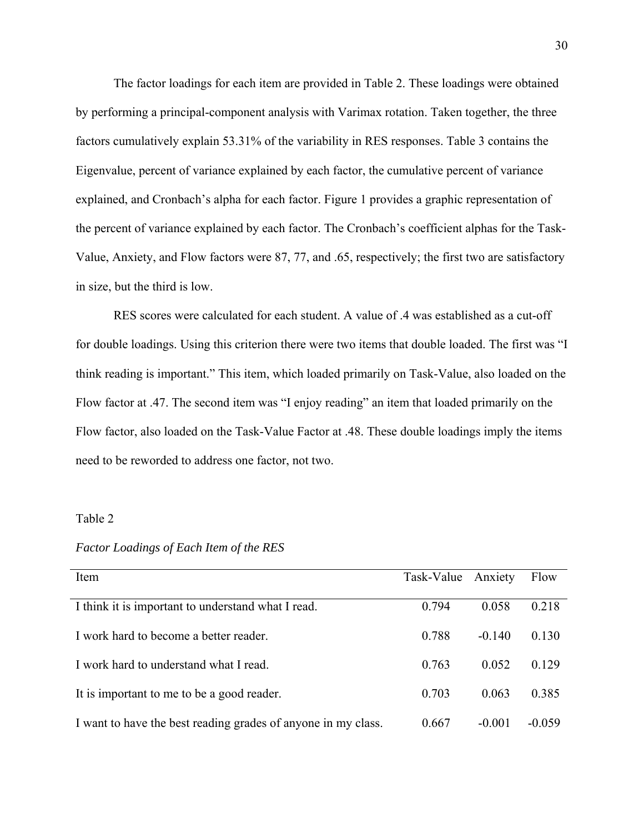The factor loadings for each item are provided in Table 2. These loadings were obtained by performing a principal-component analysis with Varimax rotation. Taken together, the three factors cumulatively explain 53.31% of the variability in RES responses. Table 3 contains the Eigenvalue, percent of variance explained by each factor, the cumulative percent of variance explained, and Cronbach's alpha for each factor. Figure 1 provides a graphic representation of the percent of variance explained by each factor. The Cronbach's coefficient alphas for the Task-Value, Anxiety, and Flow factors were 87, 77, and .65, respectively; the first two are satisfactory in size, but the third is low.

RES scores were calculated for each student. A value of .4 was established as a cut-off for double loadings. Using this criterion there were two items that double loaded. The first was "I think reading is important." This item, which loaded primarily on Task-Value, also loaded on the Flow factor at .47. The second item was "I enjoy reading" an item that loaded primarily on the Flow factor, also loaded on the Task-Value Factor at .48. These double loadings imply the items need to be reworded to address one factor, not two.

#### Table 2

| Item                                                          | Task-Value Anxiety |          | Flow     |
|---------------------------------------------------------------|--------------------|----------|----------|
|                                                               |                    |          |          |
| I think it is important to understand what I read.            | 0.794              | 0.058    | 0.218    |
|                                                               |                    |          |          |
| I work hard to become a better reader.                        | 0.788              | $-0.140$ | 0.130    |
|                                                               |                    |          |          |
| I work hard to understand what I read.                        | 0.763              | 0.052    | 0.129    |
| It is important to me to be a good reader.                    | 0.703              | 0.063    | 0.385    |
|                                                               |                    |          |          |
| I want to have the best reading grades of anyone in my class. | 0.667              | $-0.001$ | $-0.059$ |
|                                                               |                    |          |          |

#### *Factor Loadings of Each Item of the RES*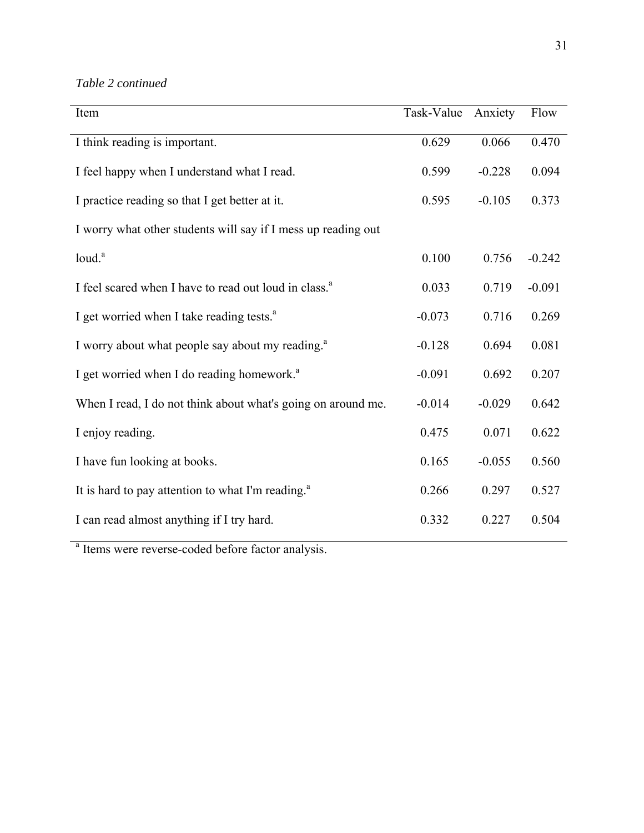*Table 2 continued* 

| Item                                                              | Task-Value | Anxiety  | Flow     |
|-------------------------------------------------------------------|------------|----------|----------|
| I think reading is important.                                     | 0.629      | 0.066    | 0.470    |
| I feel happy when I understand what I read.                       | 0.599      | $-0.228$ | 0.094    |
| I practice reading so that I get better at it.                    | 0.595      | $-0.105$ | 0.373    |
| I worry what other students will say if I mess up reading out     |            |          |          |
| loud. <sup>a</sup>                                                | 0.100      | 0.756    | $-0.242$ |
| I feel scared when I have to read out loud in class. <sup>a</sup> | 0.033      | 0.719    | $-0.091$ |
| I get worried when I take reading tests. <sup>a</sup>             | $-0.073$   | 0.716    | 0.269    |
| I worry about what people say about my reading. <sup>a</sup>      | $-0.128$   | 0.694    | 0.081    |
| I get worried when I do reading homework. <sup>a</sup>            | $-0.091$   | 0.692    | 0.207    |
| When I read, I do not think about what's going on around me.      | $-0.014$   | $-0.029$ | 0.642    |
| I enjoy reading.                                                  | 0.475      | 0.071    | 0.622    |
| I have fun looking at books.                                      | 0.165      | $-0.055$ | 0.560    |
| It is hard to pay attention to what I'm reading. <sup>a</sup>     | 0.266      | 0.297    | 0.527    |
| I can read almost anything if I try hard.                         | 0.332      | 0.227    | 0.504    |

<sup>a</sup> Items were reverse-coded before factor analysis.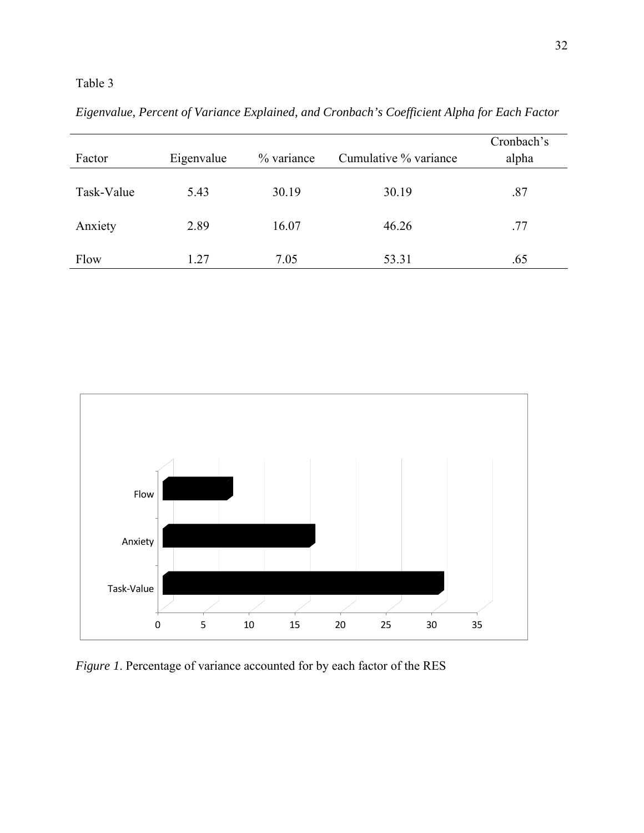| Factor     | Eigenvalue | % variance | Cumulative % variance | Cronbach's<br>alpha |
|------------|------------|------------|-----------------------|---------------------|
| Task-Value | 5.43       | 30.19      | 30.19                 | .87                 |
| Anxiety    | 2.89       | 16.07      | 46.26                 | .77                 |
| Flow       | 1.27       | 7.05       | 53.31                 | .65                 |

*Eigenvalue, Percent of Variance Explained, and Cronbach's Coefficient Alpha for Each Factor* 



*Figure 1*. Percentage of variance accounted for by each factor of the RES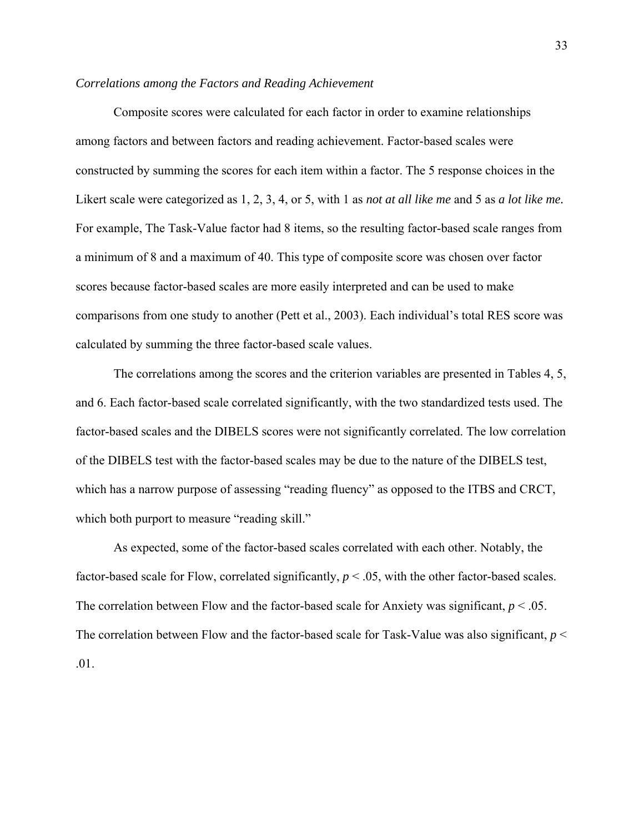#### *Correlations among the Factors and Reading Achievement*

Composite scores were calculated for each factor in order to examine relationships among factors and between factors and reading achievement. Factor-based scales were constructed by summing the scores for each item within a factor. The 5 response choices in the Likert scale were categorized as 1, 2, 3, 4, or 5, with 1 as *not at all like me* and 5 as *a lot like me.* For example, The Task-Value factor had 8 items, so the resulting factor-based scale ranges from a minimum of 8 and a maximum of 40. This type of composite score was chosen over factor scores because factor-based scales are more easily interpreted and can be used to make comparisons from one study to another (Pett et al., 2003). Each individual's total RES score was calculated by summing the three factor-based scale values.

The correlations among the scores and the criterion variables are presented in Tables 4, 5, and 6. Each factor-based scale correlated significantly, with the two standardized tests used. The factor-based scales and the DIBELS scores were not significantly correlated. The low correlation of the DIBELS test with the factor-based scales may be due to the nature of the DIBELS test, which has a narrow purpose of assessing "reading fluency" as opposed to the ITBS and CRCT, which both purport to measure "reading skill."

As expected, some of the factor-based scales correlated with each other. Notably, the factor-based scale for Flow, correlated significantly,  $p < .05$ , with the other factor-based scales. The correlation between Flow and the factor-based scale for Anxiety was significant,  $p < 0.05$ . The correlation between Flow and the factor-based scale for Task-Value was also significant,  $p <$ .01.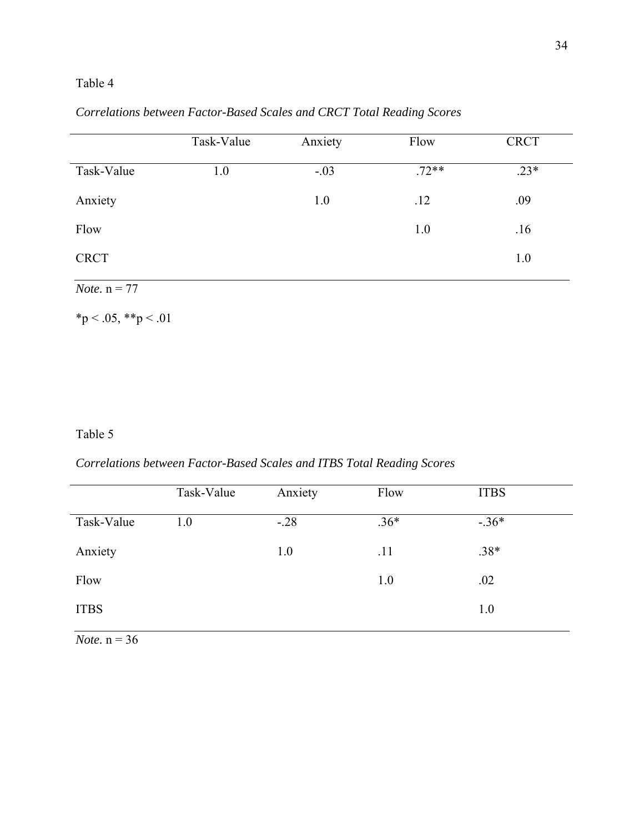|            | Task-Value | Anxiety | Flow    | <b>CRCT</b> |
|------------|------------|---------|---------|-------------|
| Task-Value | $\cdot$ .0 | $-.03$  | $.72**$ | $23*$       |
| Anxiety    |            | 1.0     | .12     | .09         |

Flow 1.0 .16

CRCT 1.0

*Correlations between Factor-Based Scales and CRCT Total Reading Scores* 

*Note.*  $n = 77$ 

 $*p < .05, **p < .01$ 

## Table 5

*Correlations between Factor-Based Scales and ITBS Total Reading Scores* 

|             | Task-Value | Anxiety | Flow   | <b>ITBS</b> |
|-------------|------------|---------|--------|-------------|
| Task-Value  | 1.0        | $-.28$  | $.36*$ | $-36*$      |
| Anxiety     |            | 1.0     | .11    | $.38*$      |
| Flow        |            |         | 1.0    | .02         |
| <b>ITBS</b> |            |         |        | 1.0         |

*Note.* n = 36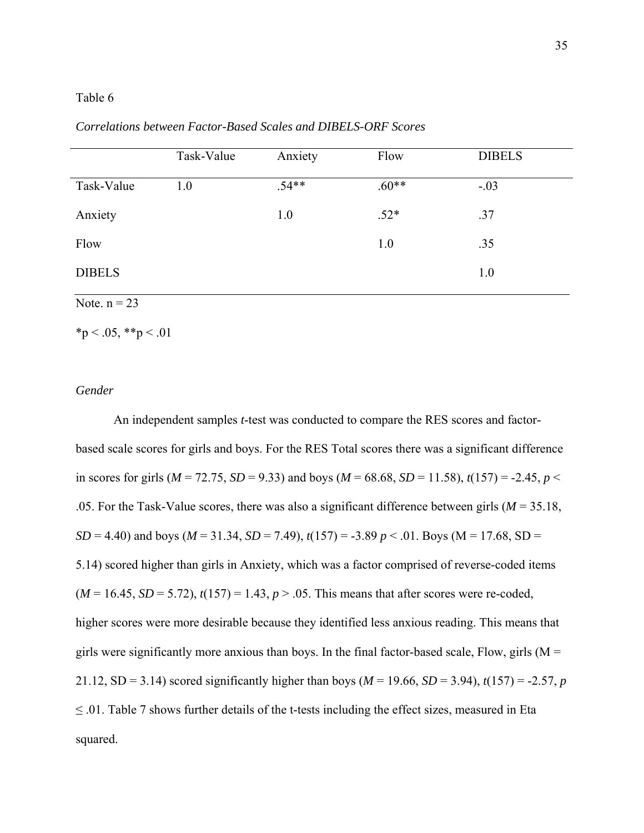|               | Task-Value | Anxiety | Flow    | <b>DIBELS</b> |
|---------------|------------|---------|---------|---------------|
| Task-Value    | 1.0        | $.54**$ | $.60**$ | $-.03$        |
| Anxiety       |            | 1.0     | $.52*$  | .37           |
| Flow          |            |         | 1.0     | .35           |
| <b>DIBELS</b> |            |         |         | 1.0           |

*Correlations between Factor-Based Scales and DIBELS-ORF Scores* 

Note.  $n = 23$ 

 $*_p$  < .05,  $*_p$  < .01

#### *Gender*

 An independent samples *t*-test was conducted to compare the RES scores and factorbased scale scores for girls and boys. For the RES Total scores there was a significant difference in scores for girls ( $M = 72.75$ ,  $SD = 9.33$ ) and boys ( $M = 68.68$ ,  $SD = 11.58$ ),  $t(157) = -2.45$ ,  $p <$ .05. For the Task-Value scores, there was also a significant difference between girls (*M* = 35.18, *SD* = 4.40) and boys (*M* = 31.34, *SD* = 7.49),  $t(157) = -3.89$  *p* < .01. Boys (M = 17.68, SD = 5.14) scored higher than girls in Anxiety, which was a factor comprised of reverse-coded items  $(M = 16.45, SD = 5.72), t(157) = 1.43, p > .05.$  This means that after scores were re-coded, higher scores were more desirable because they identified less anxious reading. This means that girls were significantly more anxious than boys. In the final factor-based scale, Flow, girls ( $M =$ 21.12, SD = 3.14) scored significantly higher than boys ( $M = 19.66$ ,  $SD = 3.94$ ),  $t(157) = -2.57$ , *p*  $\leq$  01. Table 7 shows further details of the t-tests including the effect sizes, measured in Eta squared.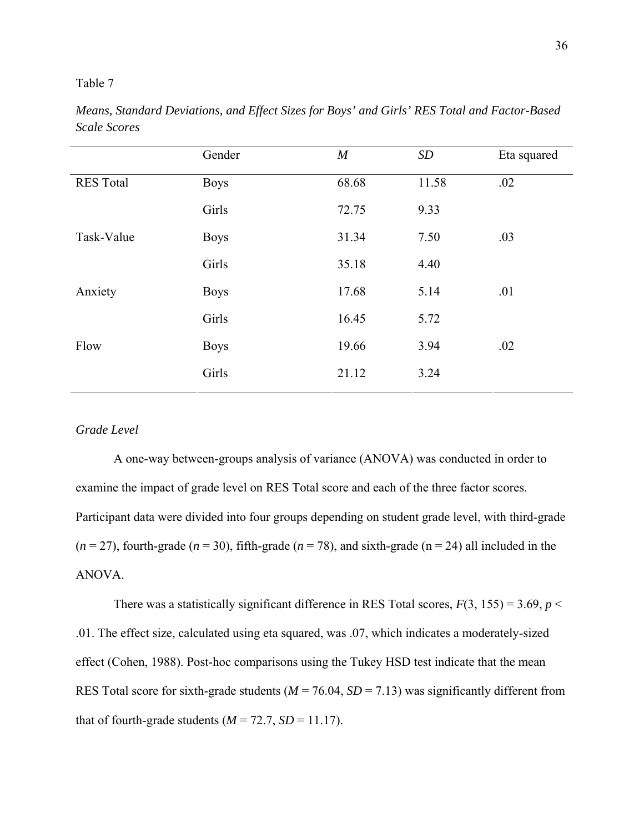*Means, Standard Deviations, and Effect Sizes for Boys' and Girls' RES Total and Factor-Based Scale Scores* 

|                  | Gender      | $\boldsymbol{M}$ | SD    | Eta squared |
|------------------|-------------|------------------|-------|-------------|
| <b>RES</b> Total | <b>Boys</b> | 68.68            | 11.58 | .02         |
|                  | Girls       | 72.75            | 9.33  |             |
| Task-Value       | <b>Boys</b> | 31.34            | 7.50  | .03         |
|                  | Girls       | 35.18            | 4.40  |             |
| Anxiety          | <b>Boys</b> | 17.68            | 5.14  | .01         |
|                  | Girls       | 16.45            | 5.72  |             |
| Flow             | <b>Boys</b> | 19.66            | 3.94  | .02         |
|                  | Girls       | 21.12            | 3.24  |             |

## *Grade Level*

 A one-way between-groups analysis of variance (ANOVA) was conducted in order to examine the impact of grade level on RES Total score and each of the three factor scores. Participant data were divided into four groups depending on student grade level, with third-grade  $(n=27)$ , fourth-grade  $(n=30)$ , fifth-grade  $(n=78)$ , and sixth-grade  $(n=24)$  all included in the ANOVA.

There was a statistically significant difference in RES Total scores,  $F(3, 155) = 3.69$ ,  $p <$ .01. The effect size, calculated using eta squared, was .07, which indicates a moderately-sized effect (Cohen, 1988). Post-hoc comparisons using the Tukey HSD test indicate that the mean RES Total score for sixth-grade students  $(M = 76.04, SD = 7.13)$  was significantly different from that of fourth-grade students  $(M = 72.7, SD = 11.17)$ .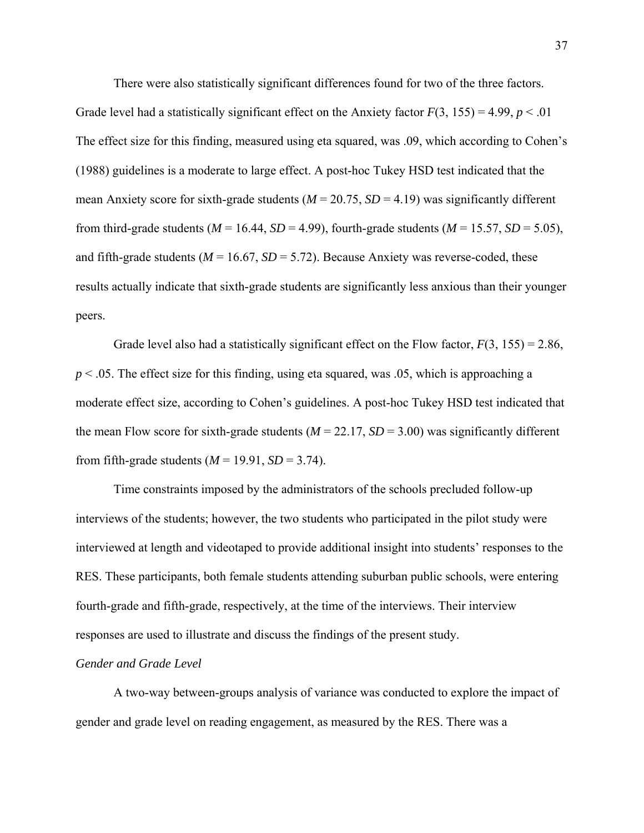There were also statistically significant differences found for two of the three factors. Grade level had a statistically significant effect on the Anxiety factor  $F(3, 155) = 4.99$ ,  $p < .01$ The effect size for this finding, measured using eta squared, was .09, which according to Cohen's (1988) guidelines is a moderate to large effect. A post-hoc Tukey HSD test indicated that the mean Anxiety score for sixth-grade students  $(M = 20.75, SD = 4.19)$  was significantly different from third-grade students ( $M = 16.44$ ,  $SD = 4.99$ ), fourth-grade students ( $M = 15.57$ ,  $SD = 5.05$ ), and fifth-grade students ( $M = 16.67$ ,  $SD = 5.72$ ). Because Anxiety was reverse-coded, these results actually indicate that sixth-grade students are significantly less anxious than their younger peers.

Grade level also had a statistically significant effect on the Flow factor,  $F(3, 155) = 2.86$ ,  $p < 0.05$ . The effect size for this finding, using eta squared, was  $0.05$ , which is approaching a moderate effect size, according to Cohen's guidelines. A post-hoc Tukey HSD test indicated that the mean Flow score for sixth-grade students ( $M = 22.17$ ,  $SD = 3.00$ ) was significantly different from fifth-grade students  $(M = 19.91, SD = 3.74)$ .

Time constraints imposed by the administrators of the schools precluded follow-up interviews of the students; however, the two students who participated in the pilot study were interviewed at length and videotaped to provide additional insight into students' responses to the RES. These participants, both female students attending suburban public schools, were entering fourth-grade and fifth-grade, respectively, at the time of the interviews. Their interview responses are used to illustrate and discuss the findings of the present study.

#### *Gender and Grade Level*

 A two-way between-groups analysis of variance was conducted to explore the impact of gender and grade level on reading engagement, as measured by the RES. There was a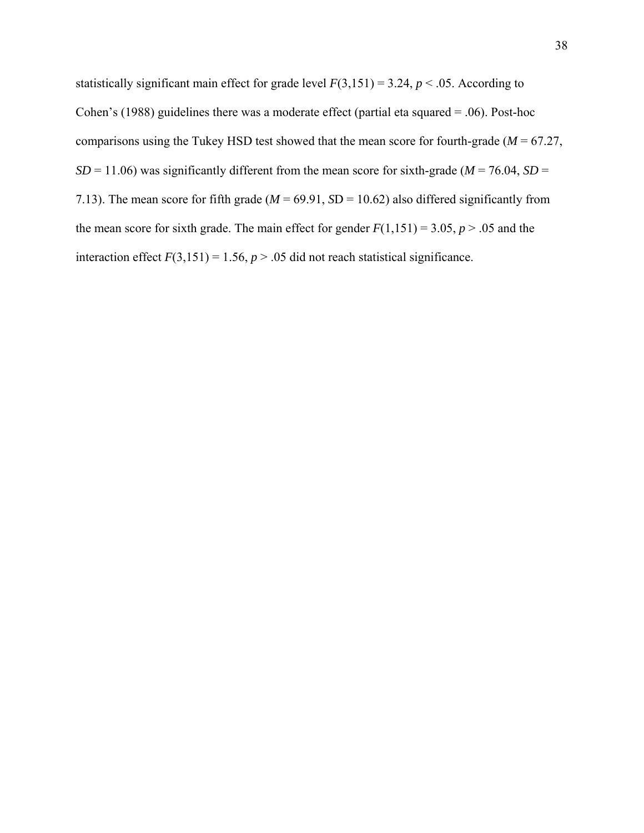statistically significant main effect for grade level  $F(3,151) = 3.24$ ,  $p < .05$ . According to Cohen's (1988) guidelines there was a moderate effect (partial eta squared = .06). Post-hoc comparisons using the Tukey HSD test showed that the mean score for fourth-grade ( $M = 67.27$ ,  $SD = 11.06$ ) was significantly different from the mean score for sixth-grade ( $M = 76.04$ ,  $SD =$ 7.13). The mean score for fifth grade ( $M = 69.91$ ,  $SD = 10.62$ ) also differed significantly from the mean score for sixth grade. The main effect for gender  $F(1,151) = 3.05$ ,  $p > .05$  and the interaction effect  $F(3,151) = 1.56$ ,  $p > .05$  did not reach statistical significance.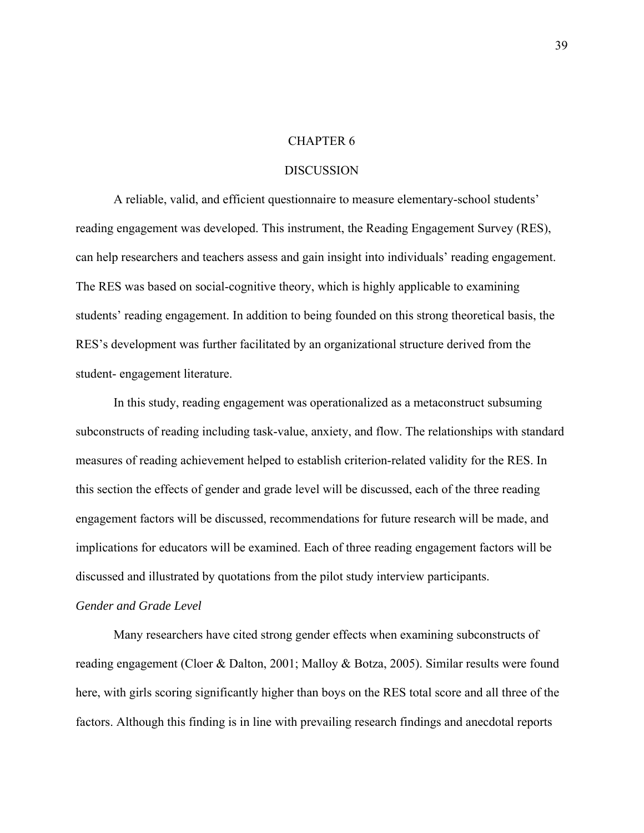#### CHAPTER 6

#### DISCUSSION

A reliable, valid, and efficient questionnaire to measure elementary-school students' reading engagement was developed. This instrument, the Reading Engagement Survey (RES), can help researchers and teachers assess and gain insight into individuals' reading engagement. The RES was based on social-cognitive theory, which is highly applicable to examining students' reading engagement. In addition to being founded on this strong theoretical basis, the RES's development was further facilitated by an organizational structure derived from the student- engagement literature.

In this study, reading engagement was operationalized as a metaconstruct subsuming subconstructs of reading including task-value, anxiety, and flow. The relationships with standard measures of reading achievement helped to establish criterion-related validity for the RES. In this section the effects of gender and grade level will be discussed, each of the three reading engagement factors will be discussed, recommendations for future research will be made, and implications for educators will be examined. Each of three reading engagement factors will be discussed and illustrated by quotations from the pilot study interview participants.

#### *Gender and Grade Level*

Many researchers have cited strong gender effects when examining subconstructs of reading engagement (Cloer & Dalton, 2001; Malloy & Botza, 2005). Similar results were found here, with girls scoring significantly higher than boys on the RES total score and all three of the factors. Although this finding is in line with prevailing research findings and anecdotal reports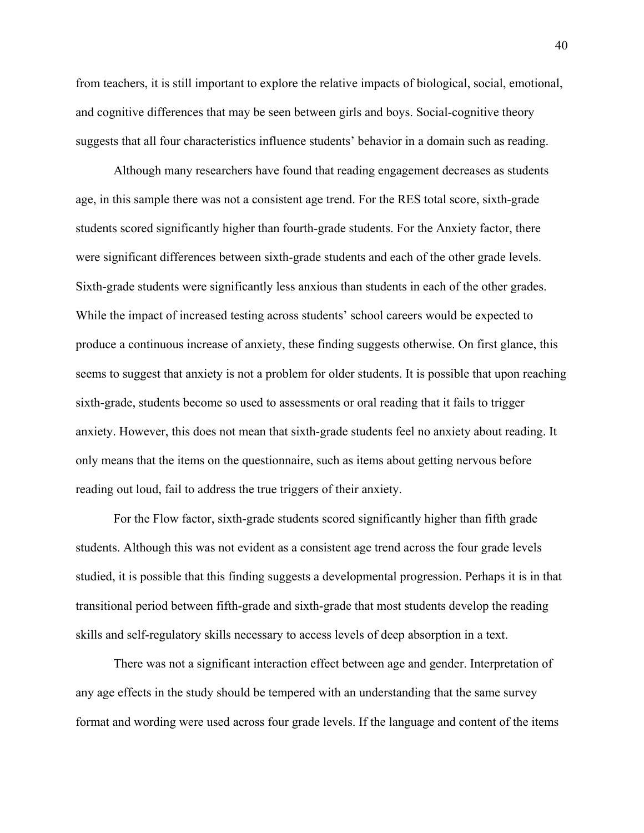from teachers, it is still important to explore the relative impacts of biological, social, emotional, and cognitive differences that may be seen between girls and boys. Social-cognitive theory suggests that all four characteristics influence students' behavior in a domain such as reading.

Although many researchers have found that reading engagement decreases as students age, in this sample there was not a consistent age trend. For the RES total score, sixth-grade students scored significantly higher than fourth-grade students. For the Anxiety factor, there were significant differences between sixth-grade students and each of the other grade levels. Sixth-grade students were significantly less anxious than students in each of the other grades. While the impact of increased testing across students' school careers would be expected to produce a continuous increase of anxiety, these finding suggests otherwise. On first glance, this seems to suggest that anxiety is not a problem for older students. It is possible that upon reaching sixth-grade, students become so used to assessments or oral reading that it fails to trigger anxiety. However, this does not mean that sixth-grade students feel no anxiety about reading. It only means that the items on the questionnaire, such as items about getting nervous before reading out loud, fail to address the true triggers of their anxiety.

For the Flow factor, sixth-grade students scored significantly higher than fifth grade students. Although this was not evident as a consistent age trend across the four grade levels studied, it is possible that this finding suggests a developmental progression. Perhaps it is in that transitional period between fifth-grade and sixth-grade that most students develop the reading skills and self-regulatory skills necessary to access levels of deep absorption in a text.

There was not a significant interaction effect between age and gender. Interpretation of any age effects in the study should be tempered with an understanding that the same survey format and wording were used across four grade levels. If the language and content of the items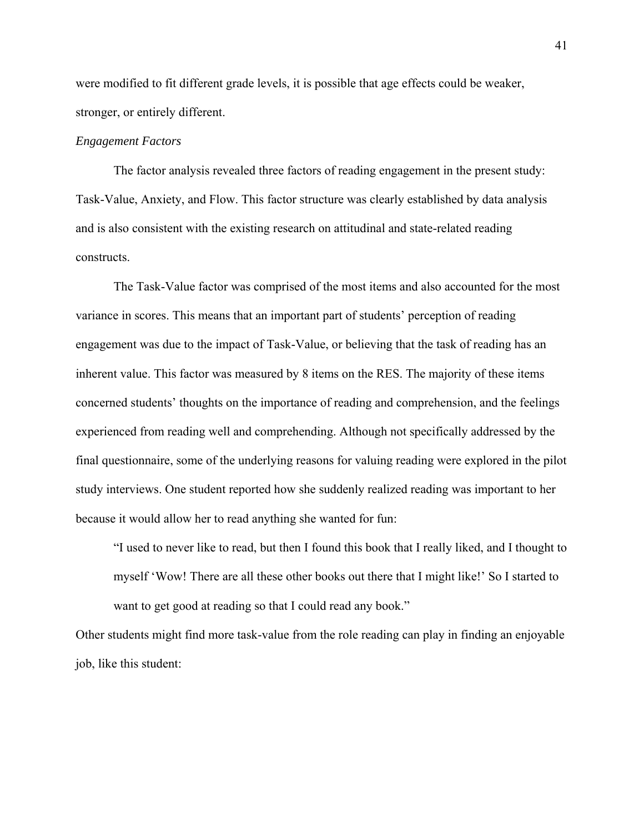were modified to fit different grade levels, it is possible that age effects could be weaker, stronger, or entirely different.

#### *Engagement Factors*

The factor analysis revealed three factors of reading engagement in the present study: Task-Value, Anxiety, and Flow. This factor structure was clearly established by data analysis and is also consistent with the existing research on attitudinal and state-related reading constructs.

The Task-Value factor was comprised of the most items and also accounted for the most variance in scores. This means that an important part of students' perception of reading engagement was due to the impact of Task-Value, or believing that the task of reading has an inherent value. This factor was measured by 8 items on the RES. The majority of these items concerned students' thoughts on the importance of reading and comprehension, and the feelings experienced from reading well and comprehending. Although not specifically addressed by the final questionnaire, some of the underlying reasons for valuing reading were explored in the pilot study interviews. One student reported how she suddenly realized reading was important to her because it would allow her to read anything she wanted for fun:

"I used to never like to read, but then I found this book that I really liked, and I thought to myself 'Wow! There are all these other books out there that I might like!' So I started to want to get good at reading so that I could read any book."

Other students might find more task-value from the role reading can play in finding an enjoyable job, like this student: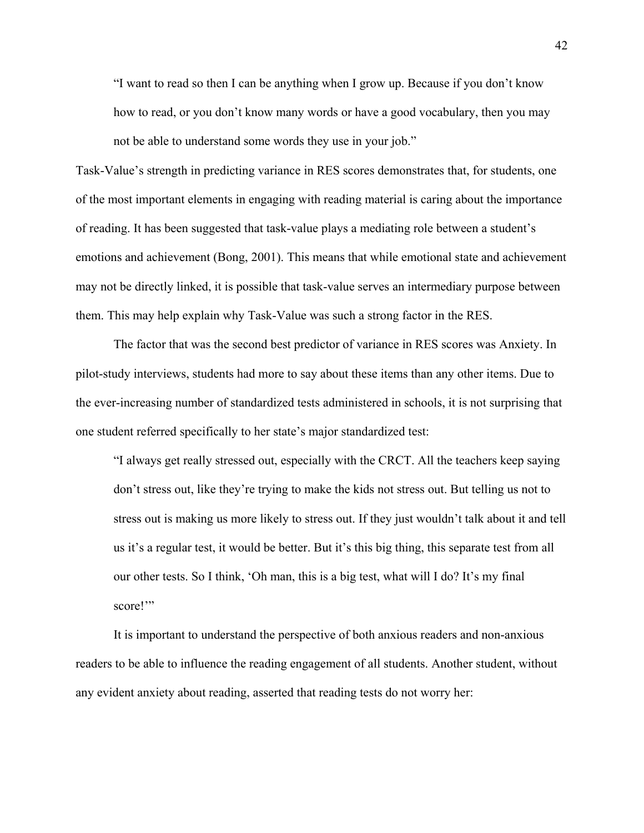"I want to read so then I can be anything when I grow up. Because if you don't know how to read, or you don't know many words or have a good vocabulary, then you may not be able to understand some words they use in your job."

Task-Value's strength in predicting variance in RES scores demonstrates that, for students, one of the most important elements in engaging with reading material is caring about the importance of reading. It has been suggested that task-value plays a mediating role between a student's emotions and achievement (Bong, 2001). This means that while emotional state and achievement may not be directly linked, it is possible that task-value serves an intermediary purpose between them. This may help explain why Task-Value was such a strong factor in the RES.

The factor that was the second best predictor of variance in RES scores was Anxiety. In pilot-study interviews, students had more to say about these items than any other items. Due to the ever-increasing number of standardized tests administered in schools, it is not surprising that one student referred specifically to her state's major standardized test:

"I always get really stressed out, especially with the CRCT. All the teachers keep saying don't stress out, like they're trying to make the kids not stress out. But telling us not to stress out is making us more likely to stress out. If they just wouldn't talk about it and tell us it's a regular test, it would be better. But it's this big thing, this separate test from all our other tests. So I think, 'Oh man, this is a big test, what will I do? It's my final score!"

It is important to understand the perspective of both anxious readers and non-anxious readers to be able to influence the reading engagement of all students. Another student, without any evident anxiety about reading, asserted that reading tests do not worry her: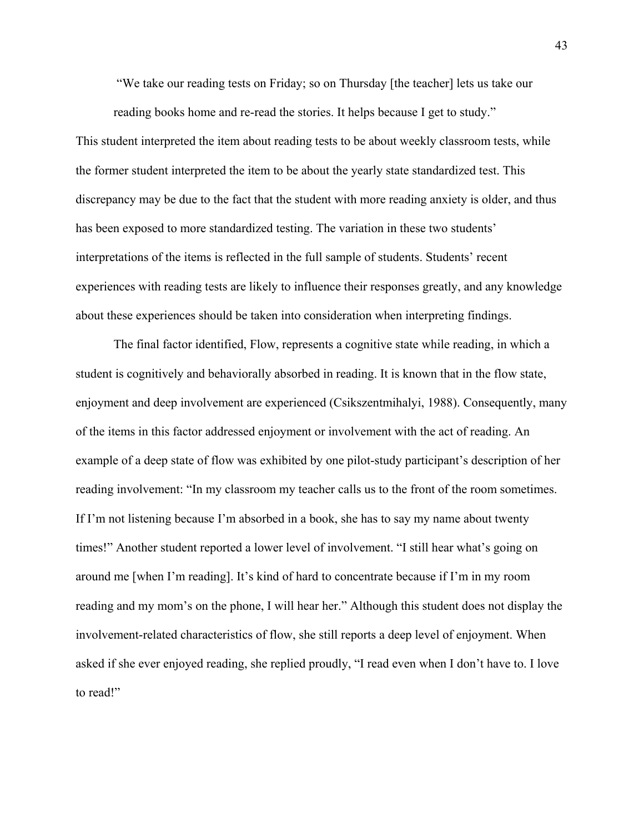"We take our reading tests on Friday; so on Thursday [the teacher] lets us take our

 reading books home and re-read the stories. It helps because I get to study." This student interpreted the item about reading tests to be about weekly classroom tests, while the former student interpreted the item to be about the yearly state standardized test. This discrepancy may be due to the fact that the student with more reading anxiety is older, and thus has been exposed to more standardized testing. The variation in these two students' interpretations of the items is reflected in the full sample of students. Students' recent experiences with reading tests are likely to influence their responses greatly, and any knowledge about these experiences should be taken into consideration when interpreting findings.

The final factor identified, Flow, represents a cognitive state while reading, in which a student is cognitively and behaviorally absorbed in reading. It is known that in the flow state, enjoyment and deep involvement are experienced (Csikszentmihalyi, 1988). Consequently, many of the items in this factor addressed enjoyment or involvement with the act of reading. An example of a deep state of flow was exhibited by one pilot-study participant's description of her reading involvement: "In my classroom my teacher calls us to the front of the room sometimes. If I'm not listening because I'm absorbed in a book, she has to say my name about twenty times!" Another student reported a lower level of involvement. "I still hear what's going on around me [when I'm reading]. It's kind of hard to concentrate because if I'm in my room reading and my mom's on the phone, I will hear her." Although this student does not display the involvement-related characteristics of flow, she still reports a deep level of enjoyment. When asked if she ever enjoyed reading, she replied proudly, "I read even when I don't have to. I love to read!"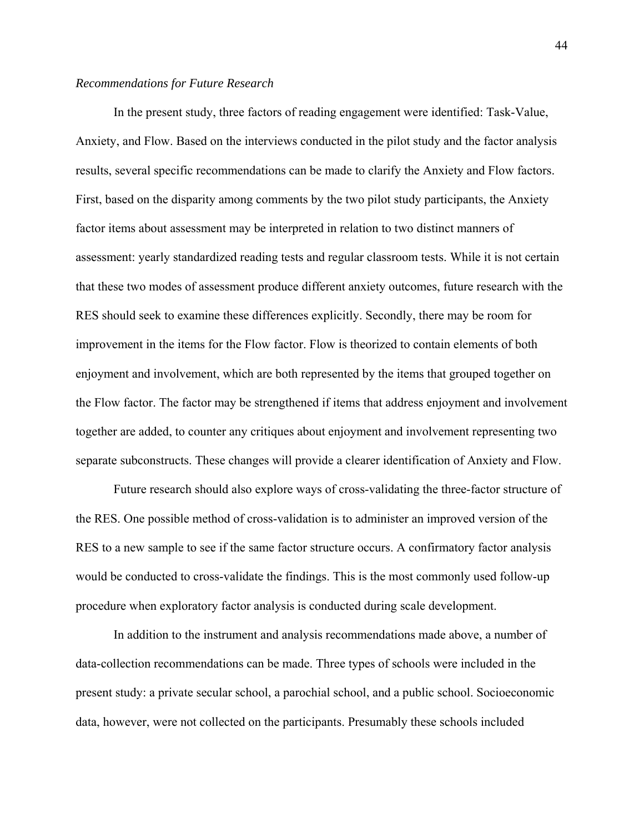#### *Recommendations for Future Research*

In the present study, three factors of reading engagement were identified: Task-Value, Anxiety, and Flow. Based on the interviews conducted in the pilot study and the factor analysis results, several specific recommendations can be made to clarify the Anxiety and Flow factors. First, based on the disparity among comments by the two pilot study participants, the Anxiety factor items about assessment may be interpreted in relation to two distinct manners of assessment: yearly standardized reading tests and regular classroom tests. While it is not certain that these two modes of assessment produce different anxiety outcomes, future research with the RES should seek to examine these differences explicitly. Secondly, there may be room for improvement in the items for the Flow factor. Flow is theorized to contain elements of both enjoyment and involvement, which are both represented by the items that grouped together on the Flow factor. The factor may be strengthened if items that address enjoyment and involvement together are added, to counter any critiques about enjoyment and involvement representing two separate subconstructs. These changes will provide a clearer identification of Anxiety and Flow.

Future research should also explore ways of cross-validating the three-factor structure of the RES. One possible method of cross-validation is to administer an improved version of the RES to a new sample to see if the same factor structure occurs. A confirmatory factor analysis would be conducted to cross-validate the findings. This is the most commonly used follow-up procedure when exploratory factor analysis is conducted during scale development.

In addition to the instrument and analysis recommendations made above, a number of data-collection recommendations can be made. Three types of schools were included in the present study: a private secular school, a parochial school, and a public school. Socioeconomic data, however, were not collected on the participants. Presumably these schools included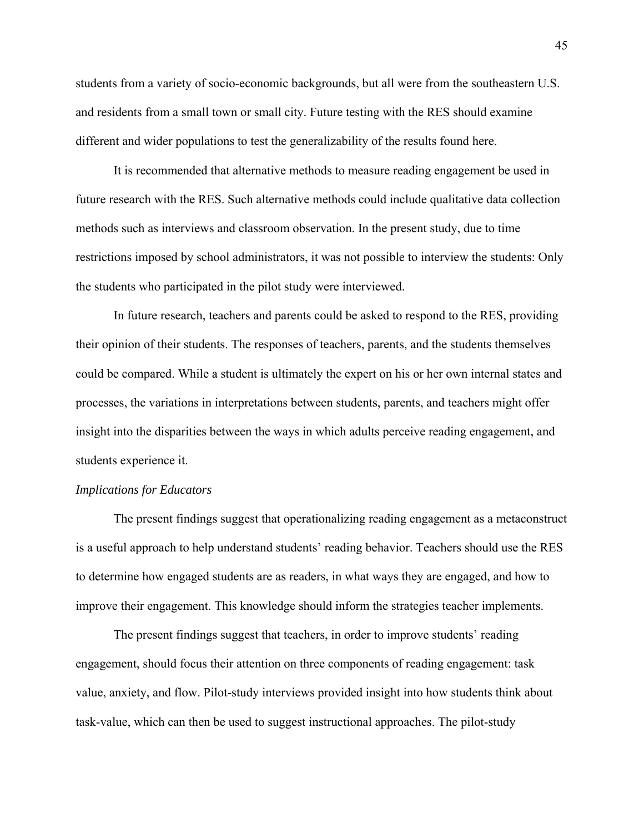students from a variety of socio-economic backgrounds, but all were from the southeastern U.S. and residents from a small town or small city. Future testing with the RES should examine different and wider populations to test the generalizability of the results found here.

It is recommended that alternative methods to measure reading engagement be used in future research with the RES. Such alternative methods could include qualitative data collection methods such as interviews and classroom observation. In the present study, due to time restrictions imposed by school administrators, it was not possible to interview the students: Only the students who participated in the pilot study were interviewed.

In future research, teachers and parents could be asked to respond to the RES, providing their opinion of their students. The responses of teachers, parents, and the students themselves could be compared. While a student is ultimately the expert on his or her own internal states and processes, the variations in interpretations between students, parents, and teachers might offer insight into the disparities between the ways in which adults perceive reading engagement, and students experience it.

#### *Implications for Educators*

The present findings suggest that operationalizing reading engagement as a metaconstruct is a useful approach to help understand students' reading behavior. Teachers should use the RES to determine how engaged students are as readers, in what ways they are engaged, and how to improve their engagement. This knowledge should inform the strategies teacher implements.

The present findings suggest that teachers, in order to improve students' reading engagement, should focus their attention on three components of reading engagement: task value, anxiety, and flow. Pilot-study interviews provided insight into how students think about task-value, which can then be used to suggest instructional approaches. The pilot-study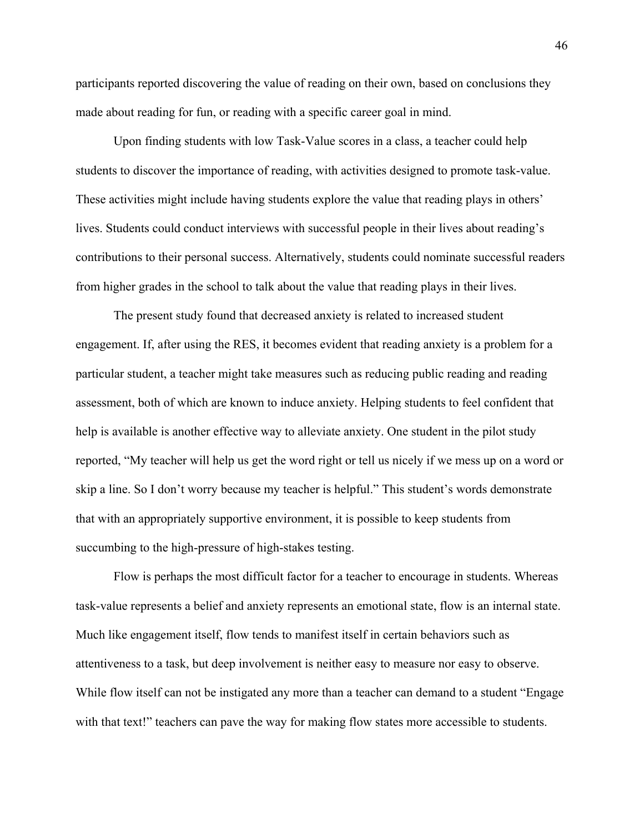participants reported discovering the value of reading on their own, based on conclusions they made about reading for fun, or reading with a specific career goal in mind.

Upon finding students with low Task-Value scores in a class, a teacher could help students to discover the importance of reading, with activities designed to promote task-value. These activities might include having students explore the value that reading plays in others' lives. Students could conduct interviews with successful people in their lives about reading's contributions to their personal success. Alternatively, students could nominate successful readers from higher grades in the school to talk about the value that reading plays in their lives.

The present study found that decreased anxiety is related to increased student engagement. If, after using the RES, it becomes evident that reading anxiety is a problem for a particular student, a teacher might take measures such as reducing public reading and reading assessment, both of which are known to induce anxiety. Helping students to feel confident that help is available is another effective way to alleviate anxiety. One student in the pilot study reported, "My teacher will help us get the word right or tell us nicely if we mess up on a word or skip a line. So I don't worry because my teacher is helpful." This student's words demonstrate that with an appropriately supportive environment, it is possible to keep students from succumbing to the high-pressure of high-stakes testing.

Flow is perhaps the most difficult factor for a teacher to encourage in students. Whereas task-value represents a belief and anxiety represents an emotional state, flow is an internal state. Much like engagement itself, flow tends to manifest itself in certain behaviors such as attentiveness to a task, but deep involvement is neither easy to measure nor easy to observe. While flow itself can not be instigated any more than a teacher can demand to a student "Engage with that text!" teachers can pave the way for making flow states more accessible to students.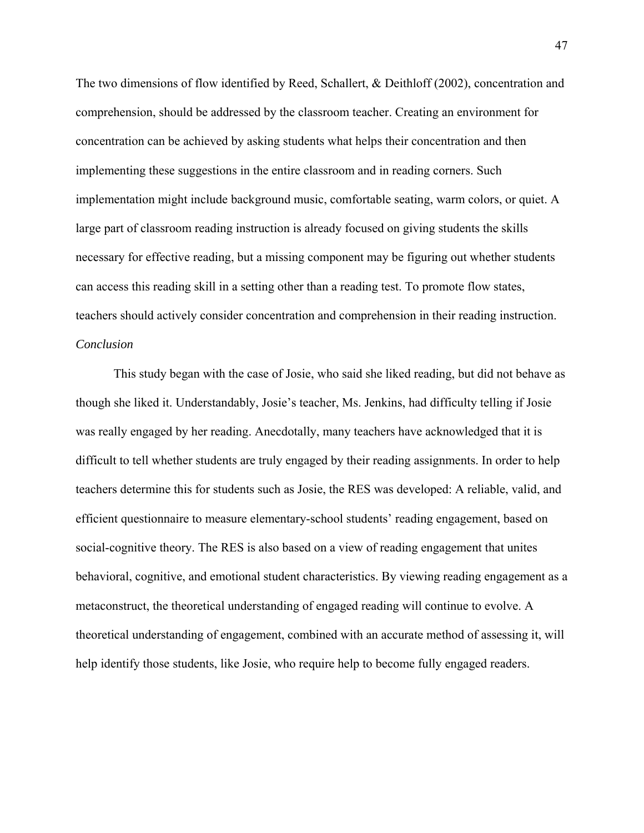The two dimensions of flow identified by Reed, Schallert, & Deithloff (2002), concentration and comprehension, should be addressed by the classroom teacher. Creating an environment for concentration can be achieved by asking students what helps their concentration and then implementing these suggestions in the entire classroom and in reading corners. Such implementation might include background music, comfortable seating, warm colors, or quiet. A large part of classroom reading instruction is already focused on giving students the skills necessary for effective reading, but a missing component may be figuring out whether students can access this reading skill in a setting other than a reading test. To promote flow states, teachers should actively consider concentration and comprehension in their reading instruction. *Conclusion* 

This study began with the case of Josie, who said she liked reading, but did not behave as though she liked it. Understandably, Josie's teacher, Ms. Jenkins, had difficulty telling if Josie was really engaged by her reading. Anecdotally, many teachers have acknowledged that it is difficult to tell whether students are truly engaged by their reading assignments. In order to help teachers determine this for students such as Josie, the RES was developed: A reliable, valid, and efficient questionnaire to measure elementary-school students' reading engagement, based on social-cognitive theory. The RES is also based on a view of reading engagement that unites behavioral, cognitive, and emotional student characteristics. By viewing reading engagement as a metaconstruct, the theoretical understanding of engaged reading will continue to evolve. A theoretical understanding of engagement, combined with an accurate method of assessing it, will help identify those students, like Josie, who require help to become fully engaged readers.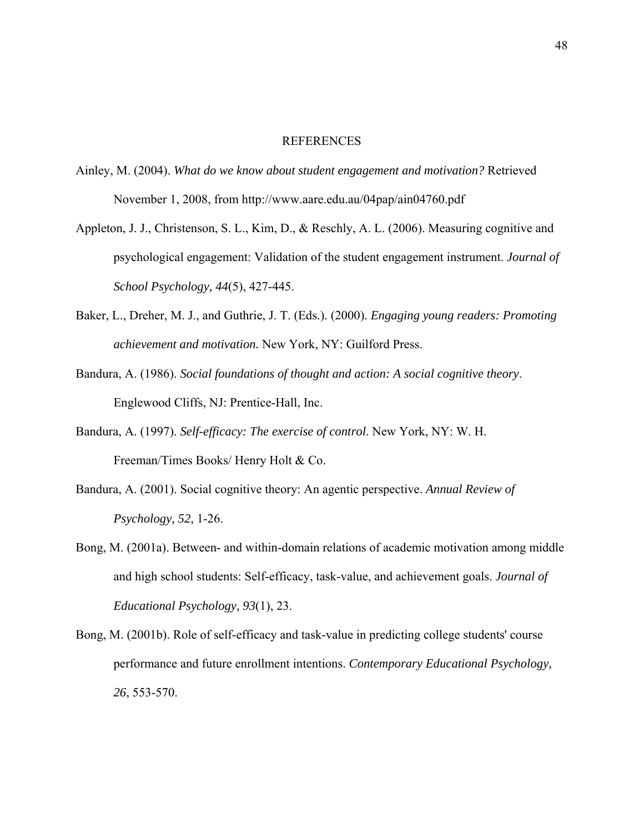#### REFERENCES

- Ainley, M. (2004). *What do we know about student engagement and motivation?* Retrieved November 1, 2008, from http://www.aare.edu.au/04pap/ain04760.pdf
- Appleton, J. J., Christenson, S. L., Kim, D., & Reschly, A. L. (2006). Measuring cognitive and psychological engagement: Validation of the student engagement instrument. *Journal of School Psychology, 44*(5), 427-445.
- Baker, L., Dreher, M. J., and Guthrie, J. T. (Eds.). (2000). *Engaging young readers: Promoting achievement and motivation.* New York, NY: Guilford Press.
- Bandura, A. (1986). *Social foundations of thought and action: A social cognitive theory*. Englewood Cliffs, NJ: Prentice-Hall, Inc.
- Bandura, A. (1997). *Self-efficacy: The exercise of control*. New York, NY: W. H. Freeman/Times Books/ Henry Holt & Co.
- Bandura, A. (2001). Social cognitive theory: An agentic perspective. *Annual Review of Psychology, 52*, 1-26.
- Bong, M. (2001a). Between- and within-domain relations of academic motivation among middle and high school students: Self-efficacy, task-value, and achievement goals. *Journal of Educational Psychology, 93*(1), 23.
- Bong, M. (2001b). Role of self-efficacy and task-value in predicting college students' course performance and future enrollment intentions. *Contemporary Educational Psychology, 26*, 553-570.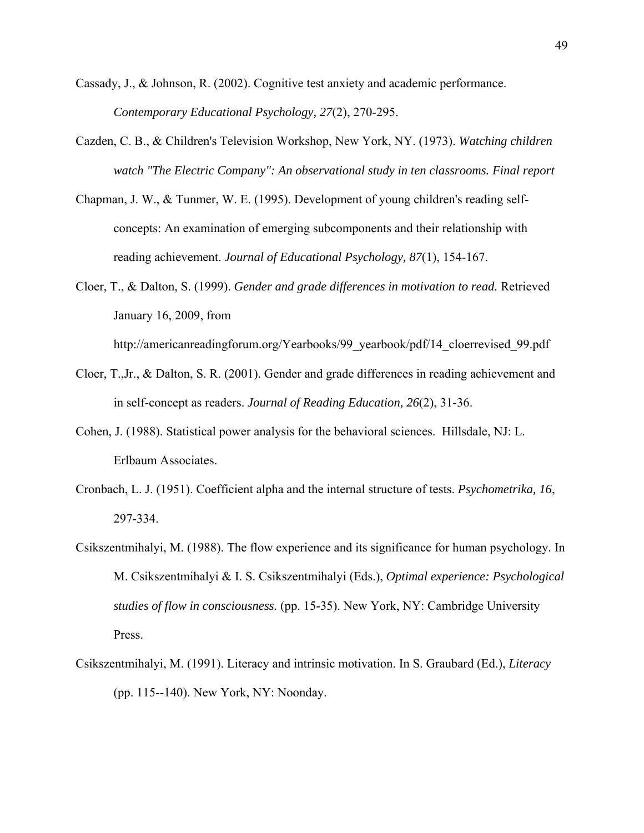- Cassady, J., & Johnson, R. (2002). Cognitive test anxiety and academic performance. *Contemporary Educational Psychology, 27*(2), 270-295.
- Cazden, C. B., & Children's Television Workshop, New York, NY. (1973). *Watching children watch "The Electric Company": An observational study in ten classrooms. Final report*
- Chapman, J. W., & Tunmer, W. E. (1995). Development of young children's reading selfconcepts: An examination of emerging subcomponents and their relationship with reading achievement. *Journal of Educational Psychology, 87*(1), 154-167.
- Cloer, T., & Dalton, S. (1999). *Gender and grade differences in motivation to read.* Retrieved January 16, 2009, from

http://americanreadingforum.org/Yearbooks/99\_yearbook/pdf/14\_cloerrevised\_99.pdf

- Cloer, T.,Jr., & Dalton, S. R. (2001). Gender and grade differences in reading achievement and in self-concept as readers. *Journal of Reading Education, 26*(2), 31-36.
- Cohen, J. (1988). Statistical power analysis for the behavioral sciences. Hillsdale, NJ: L. Erlbaum Associates.
- Cronbach, L. J. (1951). Coefficient alpha and the internal structure of tests. *Psychometrika, 16*, 297-334.
- Csikszentmihalyi, M. (1988). The flow experience and its significance for human psychology. In M. Csikszentmihalyi & I. S. Csikszentmihalyi (Eds.), *Optimal experience: Psychological studies of flow in consciousness.* (pp. 15-35). New York, NY: Cambridge University Press.
- Csikszentmihalyi, M. (1991). Literacy and intrinsic motivation. In S. Graubard (Ed.), *Literacy* (pp. 115--140). New York, NY: Noonday.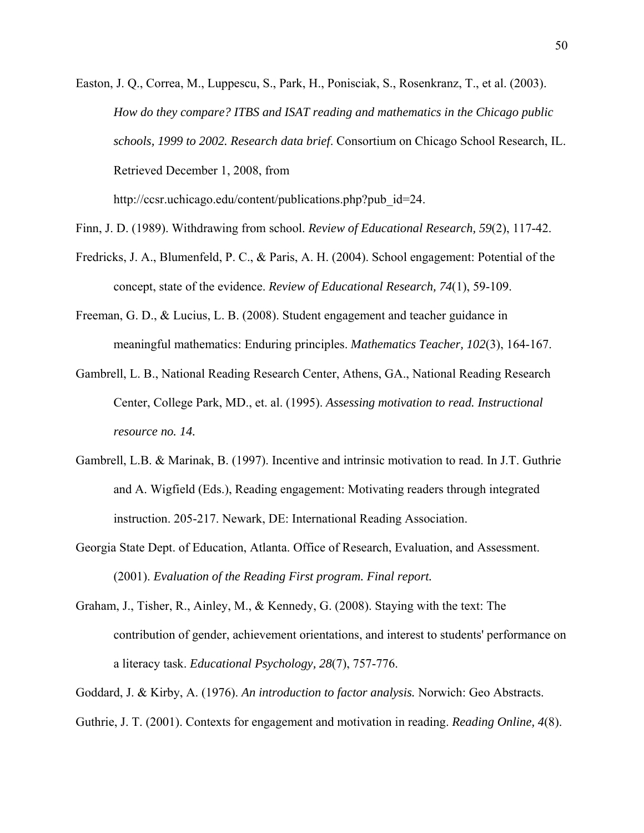Easton, J. Q., Correa, M., Luppescu, S., Park, H., Ponisciak, S., Rosenkranz, T., et al. (2003). *How do they compare? ITBS and ISAT reading and mathematics in the Chicago public schools, 1999 to 2002. Research data brief*. Consortium on Chicago School Research, IL. Retrieved December 1, 2008, from

http://ccsr.uchicago.edu/content/publications.php?pub\_id=24.

- Finn, J. D. (1989). Withdrawing from school. *Review of Educational Research, 59*(2), 117-42.
- Fredricks, J. A., Blumenfeld, P. C., & Paris, A. H. (2004). School engagement: Potential of the concept, state of the evidence. *Review of Educational Research, 74*(1), 59-109.
- Freeman, G. D., & Lucius, L. B. (2008). Student engagement and teacher guidance in meaningful mathematics: Enduring principles. *Mathematics Teacher, 102*(3), 164-167.
- Gambrell, L. B., National Reading Research Center, Athens, GA., National Reading Research Center, College Park, MD., et. al. (1995). *Assessing motivation to read. Instructional resource no. 14.*
- Gambrell, L.B. & Marinak, B. (1997). Incentive and intrinsic motivation to read. In J.T. Guthrie and A. Wigfield (Eds.), Reading engagement: Motivating readers through integrated instruction. 205-217. Newark, DE: International Reading Association.
- Georgia State Dept. of Education, Atlanta. Office of Research, Evaluation, and Assessment. (2001). *Evaluation of the Reading First program. Final report.*
- Graham, J., Tisher, R., Ainley, M., & Kennedy, G. (2008). Staying with the text: The contribution of gender, achievement orientations, and interest to students' performance on a literacy task. *Educational Psychology, 28*(7), 757-776.

Goddard, J. & Kirby, A. (1976). *An introduction to factor analysis.* Norwich: Geo Abstracts.

Guthrie, J. T. (2001). Contexts for engagement and motivation in reading. *Reading Online, 4*(8).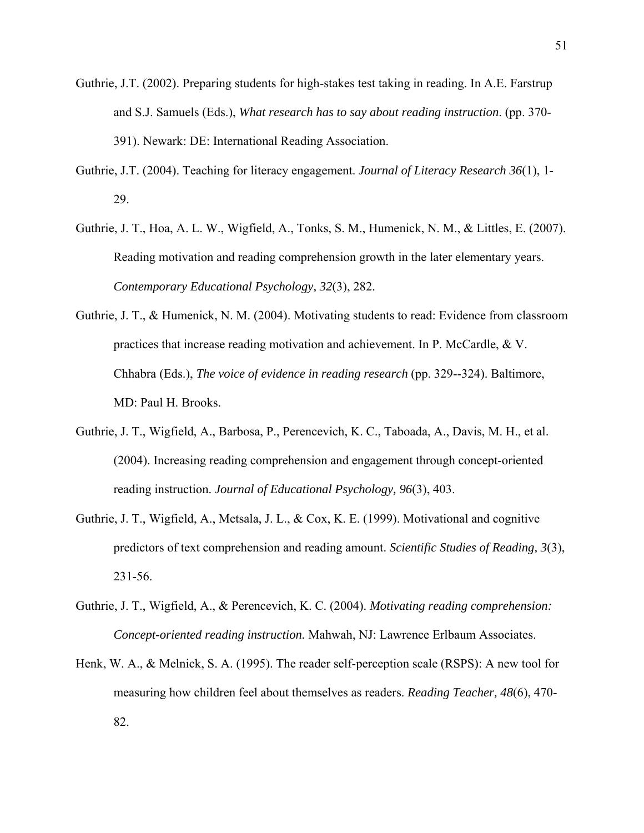- Guthrie, J.T. (2002). Preparing students for high-stakes test taking in reading. In A.E. Farstrup and S.J. Samuels (Eds.), *What research has to say about reading instruction*. (pp. 370- 391). Newark: DE: International Reading Association.
- Guthrie, J.T. (2004). Teaching for literacy engagement. *Journal of Literacy Research 36*(1), 1- 29.
- Guthrie, J. T., Hoa, A. L. W., Wigfield, A., Tonks, S. M., Humenick, N. M., & Littles, E. (2007). Reading motivation and reading comprehension growth in the later elementary years. *Contemporary Educational Psychology, 32*(3), 282.
- Guthrie, J. T., & Humenick, N. M. (2004). Motivating students to read: Evidence from classroom practices that increase reading motivation and achievement. In P. McCardle, & V. Chhabra (Eds.), *The voice of evidence in reading research* (pp. 329--324). Baltimore, MD: Paul H. Brooks.
- Guthrie, J. T., Wigfield, A., Barbosa, P., Perencevich, K. C., Taboada, A., Davis, M. H., et al. (2004). Increasing reading comprehension and engagement through concept-oriented reading instruction. *Journal of Educational Psychology, 96*(3), 403.
- Guthrie, J. T., Wigfield, A., Metsala, J. L., & Cox, K. E. (1999). Motivational and cognitive predictors of text comprehension and reading amount. *Scientific Studies of Reading, 3*(3), 231-56.
- Guthrie, J. T., Wigfield, A., & Perencevich, K. C. (2004). *Motivating reading comprehension: Concept-oriented reading instruction.* Mahwah, NJ: Lawrence Erlbaum Associates.
- Henk, W. A., & Melnick, S. A. (1995). The reader self-perception scale (RSPS): A new tool for measuring how children feel about themselves as readers. *Reading Teacher, 48*(6), 470- 82.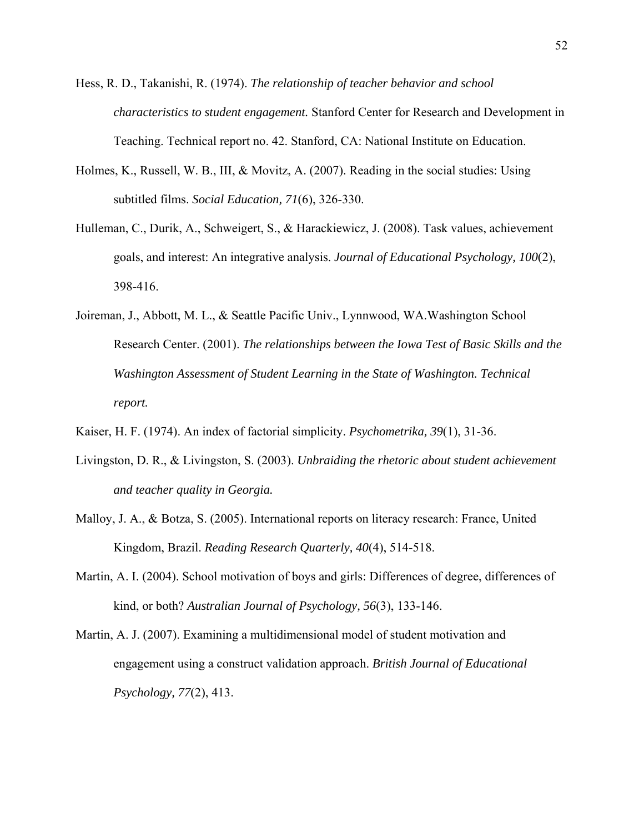- Hess, R. D., Takanishi, R. (1974). *The relationship of teacher behavior and school characteristics to student engagement.* Stanford Center for Research and Development in Teaching. Technical report no. 42. Stanford, CA: National Institute on Education.
- Holmes, K., Russell, W. B., III, & Movitz, A. (2007). Reading in the social studies: Using subtitled films. *Social Education, 71*(6), 326-330.
- Hulleman, C., Durik, A., Schweigert, S., & Harackiewicz, J. (2008). Task values, achievement goals, and interest: An integrative analysis. *Journal of Educational Psychology, 100*(2), 398-416.
- Joireman, J., Abbott, M. L., & Seattle Pacific Univ., Lynnwood, WA.Washington School Research Center. (2001). *The relationships between the Iowa Test of Basic Skills and the Washington Assessment of Student Learning in the State of Washington. Technical report.*
- Kaiser, H. F. (1974). An index of factorial simplicity. *Psychometrika, 39*(1), 31-36.
- Livingston, D. R., & Livingston, S. (2003). *Unbraiding the rhetoric about student achievement and teacher quality in Georgia.*
- Malloy, J. A., & Botza, S. (2005). International reports on literacy research: France, United Kingdom, Brazil. *Reading Research Quarterly, 40*(4), 514-518.
- Martin, A. I. (2004). School motivation of boys and girls: Differences of degree, differences of kind, or both? *Australian Journal of Psychology, 56*(3), 133-146.
- Martin, A. J. (2007). Examining a multidimensional model of student motivation and engagement using a construct validation approach. *British Journal of Educational Psychology, 77*(2), 413.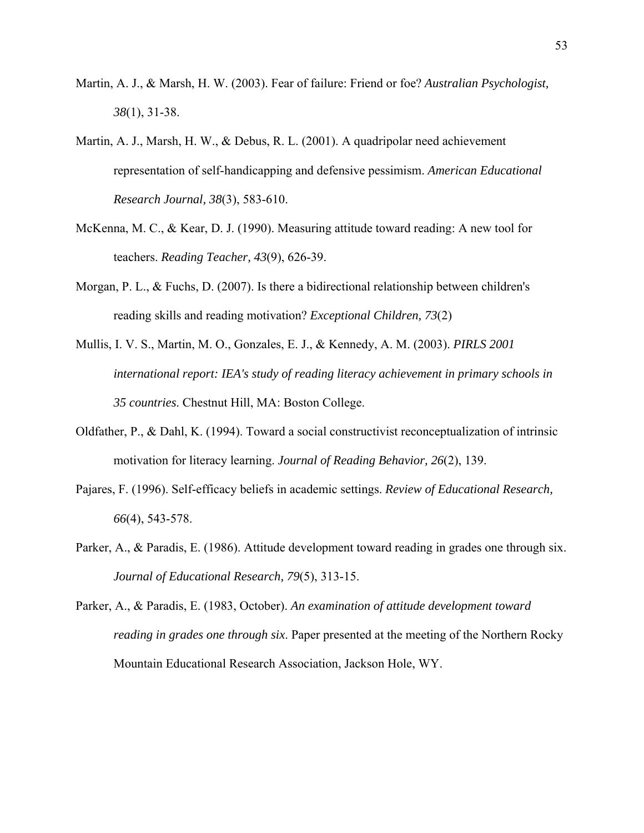- Martin, A. J., & Marsh, H. W. (2003). Fear of failure: Friend or foe? *Australian Psychologist, 38*(1), 31-38.
- Martin, A. J., Marsh, H. W., & Debus, R. L. (2001). A quadripolar need achievement representation of self-handicapping and defensive pessimism. *American Educational Research Journal, 38*(3), 583-610.
- McKenna, M. C., & Kear, D. J. (1990). Measuring attitude toward reading: A new tool for teachers. *Reading Teacher, 43*(9), 626-39.
- Morgan, P. L., & Fuchs, D. (2007). Is there a bidirectional relationship between children's reading skills and reading motivation? *Exceptional Children, 73*(2)
- Mullis, I. V. S., Martin, M. O., Gonzales, E. J., & Kennedy, A. M. (2003). *PIRLS 2001 international report: IEA's study of reading literacy achievement in primary schools in 35 countries*. Chestnut Hill, MA: Boston College.
- Oldfather, P., & Dahl, K. (1994). Toward a social constructivist reconceptualization of intrinsic motivation for literacy learning. *Journal of Reading Behavior, 26*(2), 139.
- Pajares, F. (1996). Self-efficacy beliefs in academic settings. *Review of Educational Research, 66*(4), 543-578.
- Parker, A., & Paradis, E. (1986). Attitude development toward reading in grades one through six. *Journal of Educational Research, 79*(5), 313-15.
- Parker, A., & Paradis, E. (1983, October). *An examination of attitude development toward reading in grades one through six*. Paper presented at the meeting of the Northern Rocky Mountain Educational Research Association, Jackson Hole, WY.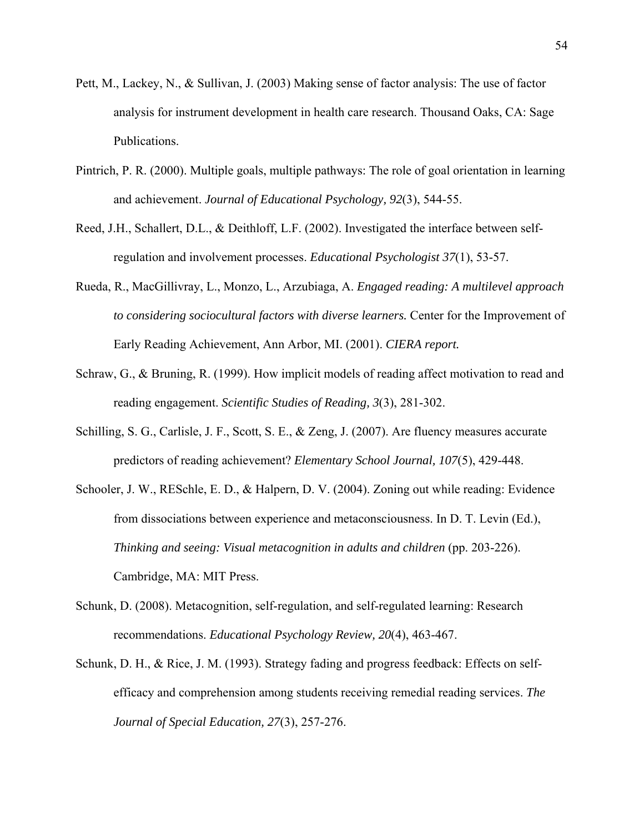- Pett, M., Lackey, N., & Sullivan, J. (2003) Making sense of factor analysis: The use of factor analysis for instrument development in health care research. Thousand Oaks, CA: Sage Publications.
- Pintrich, P. R. (2000). Multiple goals, multiple pathways: The role of goal orientation in learning and achievement. *Journal of Educational Psychology, 92*(3), 544-55.
- Reed, J.H., Schallert, D.L., & Deithloff, L.F. (2002). Investigated the interface between selfregulation and involvement processes. *Educational Psychologist 37*(1), 53-57.
- Rueda, R., MacGillivray, L., Monzo, L., Arzubiaga, A. *Engaged reading: A multilevel approach to considering sociocultural factors with diverse learners.* Center for the Improvement of Early Reading Achievement, Ann Arbor, MI. (2001). *CIERA report.*
- Schraw, G., & Bruning, R. (1999). How implicit models of reading affect motivation to read and reading engagement. *Scientific Studies of Reading, 3*(3), 281-302.
- Schilling, S. G., Carlisle, J. F., Scott, S. E., & Zeng, J. (2007). Are fluency measures accurate predictors of reading achievement? *Elementary School Journal, 107*(5), 429-448.
- Schooler, J. W., RESchle, E. D., & Halpern, D. V. (2004). Zoning out while reading: Evidence from dissociations between experience and metaconsciousness. In D. T. Levin (Ed.), *Thinking and seeing: Visual metacognition in adults and children* (pp. 203-226). Cambridge, MA: MIT Press.
- Schunk, D. (2008). Metacognition, self-regulation, and self-regulated learning: Research recommendations. *Educational Psychology Review, 20*(4), 463-467.
- Schunk, D. H., & Rice, J. M. (1993). Strategy fading and progress feedback: Effects on selfefficacy and comprehension among students receiving remedial reading services. *The Journal of Special Education, 27*(3), 257-276.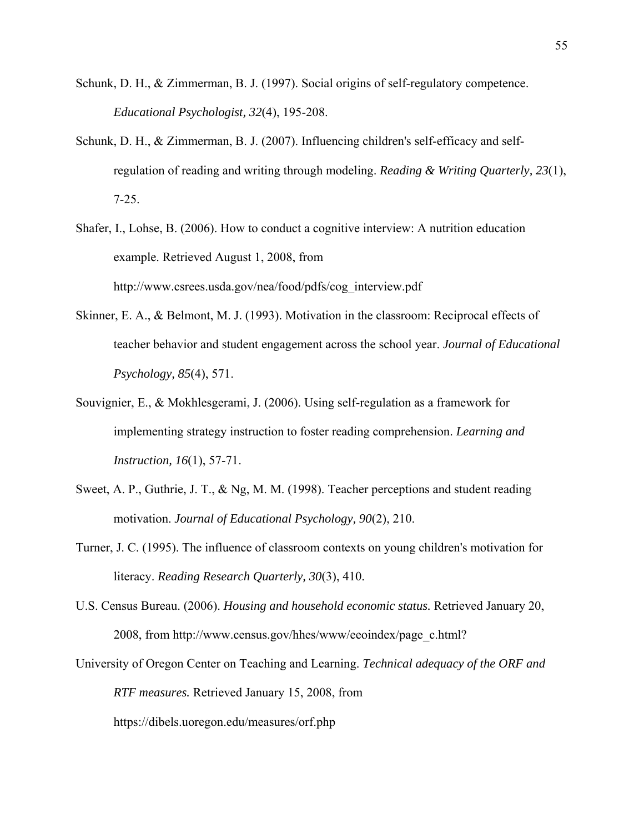- Schunk, D. H., & Zimmerman, B. J. (1997). Social origins of self-regulatory competence. *Educational Psychologist, 32*(4), 195-208.
- Schunk, D. H., & Zimmerman, B. J. (2007). Influencing children's self-efficacy and selfregulation of reading and writing through modeling. *Reading & Writing Quarterly, 23*(1), 7-25.
- Shafer, I., Lohse, B. (2006). How to conduct a cognitive interview: A nutrition education example. Retrieved August 1, 2008, from http://www.csrees.usda.gov/nea/food/pdfs/cog\_interview.pdf
- Skinner, E. A., & Belmont, M. J. (1993). Motivation in the classroom: Reciprocal effects of teacher behavior and student engagement across the school year. *Journal of Educational Psychology, 85*(4), 571.
- Souvignier, E., & Mokhlesgerami, J. (2006). Using self-regulation as a framework for implementing strategy instruction to foster reading comprehension. *Learning and Instruction, 16*(1), 57-71.
- Sweet, A. P., Guthrie, J. T., & Ng, M. M. (1998). Teacher perceptions and student reading motivation. *Journal of Educational Psychology, 90*(2), 210.
- Turner, J. C. (1995). The influence of classroom contexts on young children's motivation for literacy. *Reading Research Quarterly, 30*(3), 410.
- U.S. Census Bureau. (2006). *Housing and household economic status.* Retrieved January 20, 2008, from http://www.census.gov/hhes/www/eeoindex/page\_c.html?
- University of Oregon Center on Teaching and Learning. *Technical adequacy of the ORF and RTF measures.* Retrieved January 15, 2008, from

https://dibels.uoregon.edu/measures/orf.php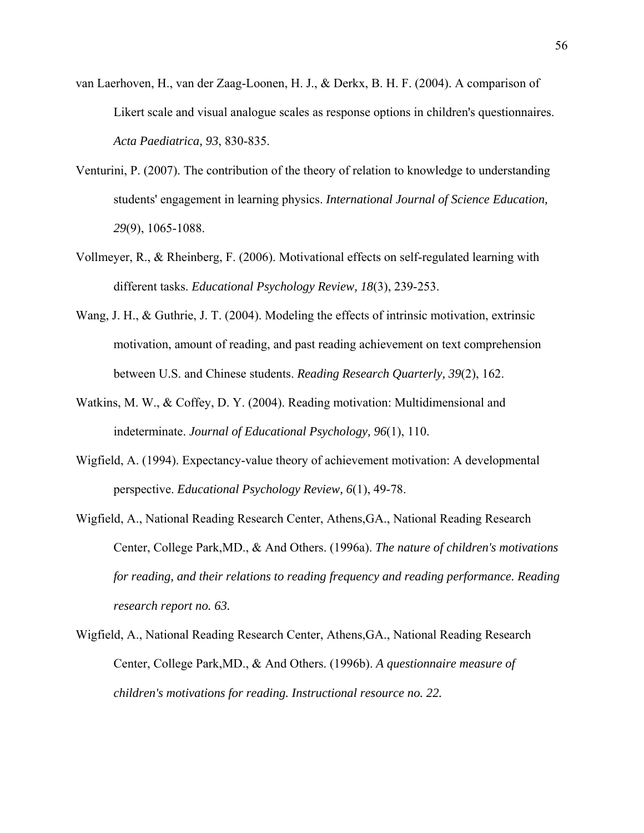- van Laerhoven, H., van der Zaag-Loonen, H. J., & Derkx, B. H. F. (2004). A comparison of Likert scale and visual analogue scales as response options in children's questionnaires. *Acta Paediatrica, 93*, 830-835.
- Venturini, P. (2007). The contribution of the theory of relation to knowledge to understanding students' engagement in learning physics. *International Journal of Science Education, 29*(9), 1065-1088.
- Vollmeyer, R., & Rheinberg, F. (2006). Motivational effects on self-regulated learning with different tasks. *Educational Psychology Review, 18*(3), 239-253.
- Wang, J. H., & Guthrie, J. T. (2004). Modeling the effects of intrinsic motivation, extrinsic motivation, amount of reading, and past reading achievement on text comprehension between U.S. and Chinese students. *Reading Research Quarterly, 39*(2), 162.
- Watkins, M. W., & Coffey, D. Y. (2004). Reading motivation: Multidimensional and indeterminate. *Journal of Educational Psychology, 96*(1), 110.
- Wigfield, A. (1994). Expectancy-value theory of achievement motivation: A developmental perspective. *Educational Psychology Review, 6*(1), 49-78.
- Wigfield, A., National Reading Research Center, Athens,GA., National Reading Research Center, College Park,MD., & And Others. (1996a). *The nature of children's motivations for reading, and their relations to reading frequency and reading performance. Reading research report no. 63.*
- Wigfield, A., National Reading Research Center, Athens,GA., National Reading Research Center, College Park,MD., & And Others. (1996b). *A questionnaire measure of children's motivations for reading. Instructional resource no. 22.*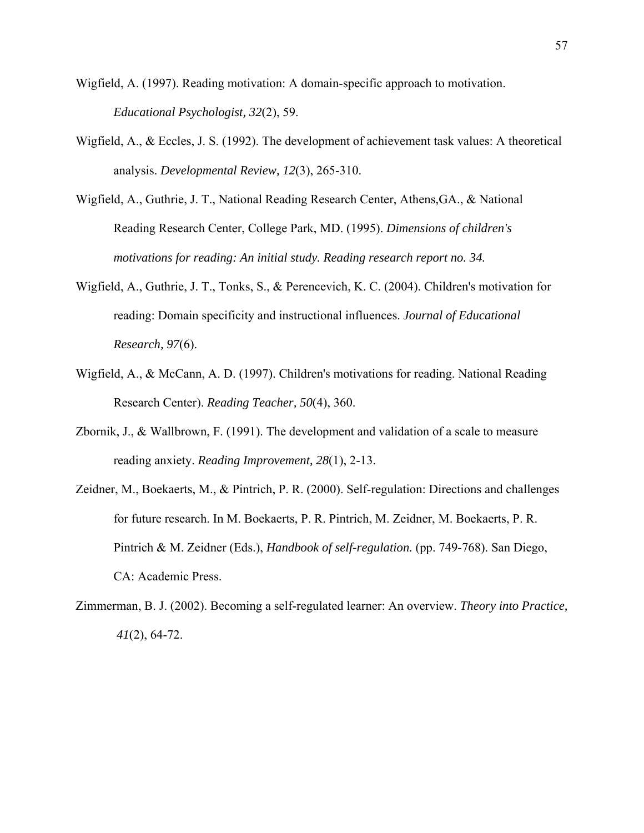- Wigfield, A. (1997). Reading motivation: A domain-specific approach to motivation. *Educational Psychologist, 32*(2), 59.
- Wigfield, A., & Eccles, J. S. (1992). The development of achievement task values: A theoretical analysis. *Developmental Review, 12*(3), 265-310.
- Wigfield, A., Guthrie, J. T., National Reading Research Center, Athens,GA., & National Reading Research Center, College Park, MD. (1995). *Dimensions of children's motivations for reading: An initial study. Reading research report no. 34.*
- Wigfield, A., Guthrie, J. T., Tonks, S., & Perencevich, K. C. (2004). Children's motivation for reading: Domain specificity and instructional influences. *Journal of Educational Research, 97*(6).
- Wigfield, A., & McCann, A. D. (1997). Children's motivations for reading. National Reading Research Center). *Reading Teacher, 50*(4), 360.
- Zbornik, J., & Wallbrown, F. (1991). The development and validation of a scale to measure reading anxiety. *Reading Improvement, 28*(1), 2-13.
- Zeidner, M., Boekaerts, M., & Pintrich, P. R. (2000). Self-regulation: Directions and challenges for future research. In M. Boekaerts, P. R. Pintrich, M. Zeidner, M. Boekaerts, P. R. Pintrich & M. Zeidner (Eds.), *Handbook of self-regulation.* (pp. 749-768). San Diego, CA: Academic Press.
- Zimmerman, B. J. (2002). Becoming a self-regulated learner: An overview. *Theory into Practice, 41*(2), 64-72.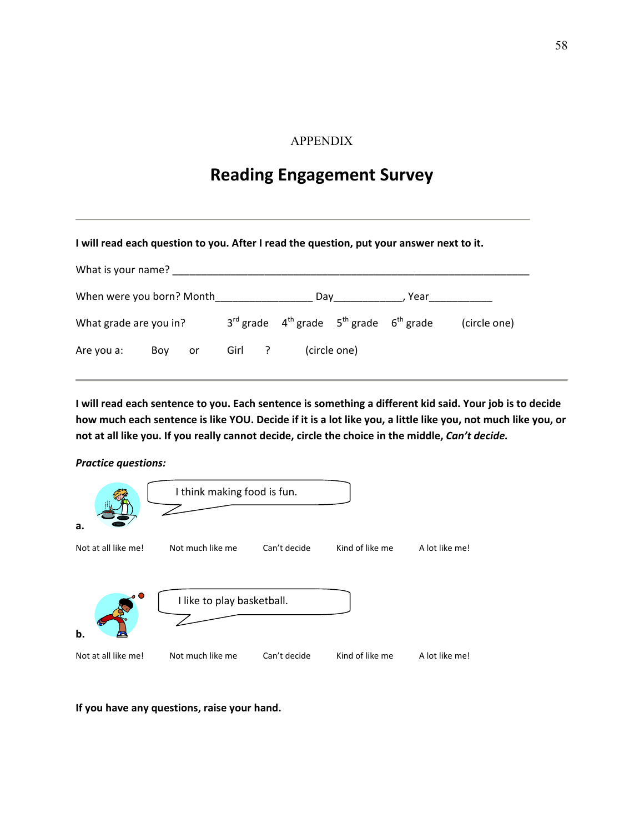# APPENDIX

# **Reading Engagement Survey**

#### **I will read each question to you. After I read the question, put your answer next to it.**

| What is your name?        |     |    |        |  |                                                             |  |        |              |
|---------------------------|-----|----|--------|--|-------------------------------------------------------------|--|--------|--------------|
| When were you born? Month |     |    |        |  | Day                                                         |  | . Year |              |
| What grade are you in?    |     |    |        |  | $3^{rd}$ grade $4^{th}$ grade $5^{th}$ grade $6^{th}$ grade |  |        | (circle one) |
| Are you a:                | Boy | or | Girl ? |  | (circle one)                                                |  |        |              |

I will read each sentence to you. Each sentence is something a different kid said. Your job is to decide how much each sentence is like YOU. Decide if it is a lot like you, a little like you, not much like you, or not at all like you. If you really cannot decide, circle the choice in the middle, Can't decide.

#### *Practice questions:*



**If you have any questions, raise your hand.**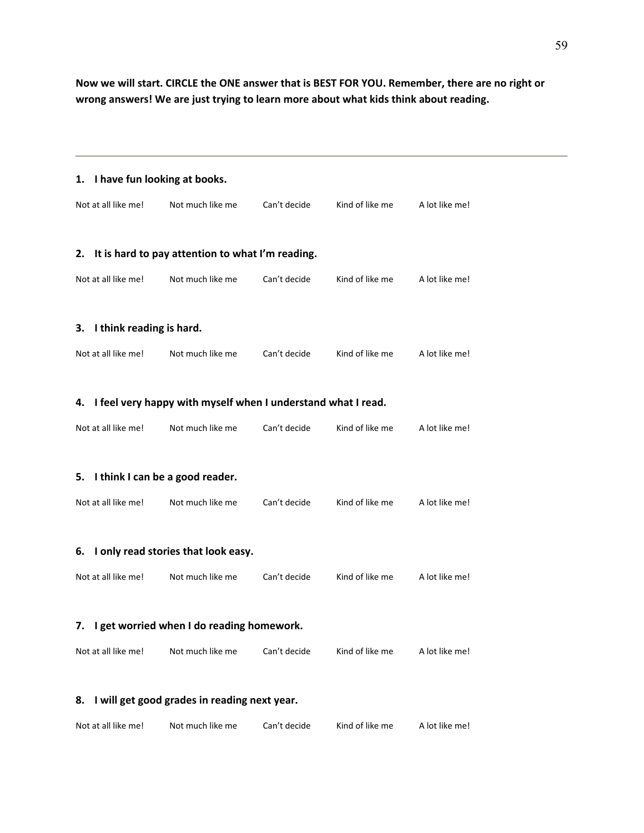Now we will start. CIRCLE the ONE answer that is BEST FOR YOU. Remember, there are no right or **wrong answers! We are just trying to learn more about what kids think about reading.**

| 1.                                           | I have fun looking at books.                                 |              |                 |                |  |  |
|----------------------------------------------|--------------------------------------------------------------|--------------|-----------------|----------------|--|--|
| Not at all like me!                          | Not much like me                                             | Can't decide | Kind of like me | A lot like me! |  |  |
|                                              |                                                              |              |                 |                |  |  |
| 2.                                           | It is hard to pay attention to what I'm reading.             |              |                 |                |  |  |
| Not at all like me!                          | Not much like me                                             | Can't decide | Kind of like me | A lot like me! |  |  |
| I think reading is hard.<br>3.               |                                                              |              |                 |                |  |  |
| Not at all like me!                          | Not much like me                                             | Can't decide | Kind of like me | A lot like me! |  |  |
| 4.                                           | I feel very happy with myself when I understand what I read. |              |                 |                |  |  |
|                                              |                                                              |              |                 |                |  |  |
| Not at all like me!                          | Not much like me                                             | Can't decide | Kind of like me | A lot like me! |  |  |
| 5.                                           | I think I can be a good reader.                              |              |                 |                |  |  |
| Not at all like me!                          | Not much like me                                             | Can't decide | Kind of like me | A lot like me! |  |  |
| 6.                                           | I only read stories that look easy.                          |              |                 |                |  |  |
|                                              |                                                              |              |                 |                |  |  |
| Not at all like me!                          | Not much like me                                             | Can't decide | Kind of like me | A lot like me! |  |  |
| 7. I get worried when I do reading homework. |                                                              |              |                 |                |  |  |
| Not at all like me!                          | Not much like me                                             | Can't decide | Kind of like me | A lot like me! |  |  |
| 8.                                           | I will get good grades in reading next year.                 |              |                 |                |  |  |
|                                              |                                                              |              |                 |                |  |  |
| Not at all like me!                          | Not much like me                                             | Can't decide | Kind of like me | A lot like me! |  |  |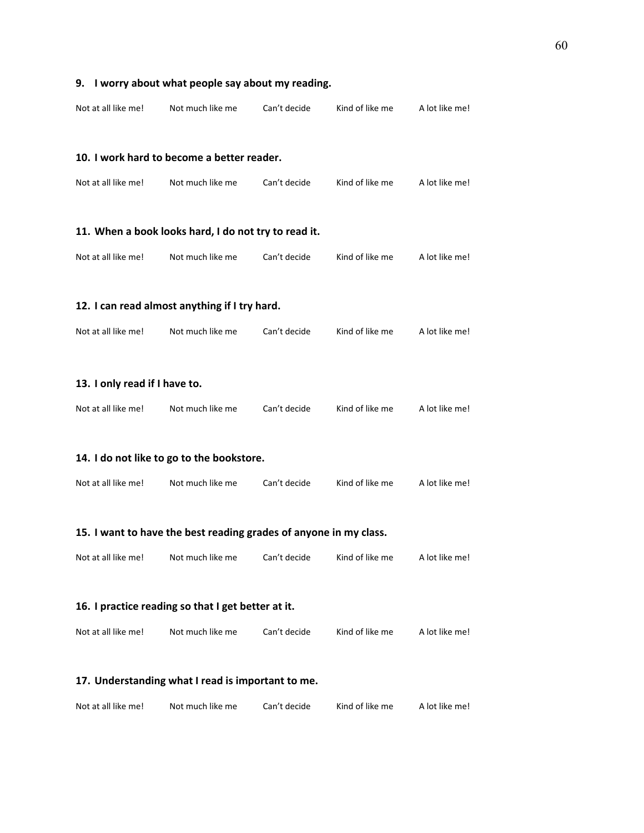| Not at all like me!                                               | Not much like me                                     | Can't decide | Kind of like me | A lot like me! |  |  |  |  |  |
|-------------------------------------------------------------------|------------------------------------------------------|--------------|-----------------|----------------|--|--|--|--|--|
|                                                                   |                                                      |              |                 |                |  |  |  |  |  |
|                                                                   | 10. I work hard to become a better reader.           |              |                 |                |  |  |  |  |  |
| Not at all like me!                                               | Not much like me                                     | Can't decide | Kind of like me | A lot like me! |  |  |  |  |  |
|                                                                   | 11. When a book looks hard, I do not try to read it. |              |                 |                |  |  |  |  |  |
| Not at all like me!                                               | Not much like me                                     | Can't decide | Kind of like me | A lot like me! |  |  |  |  |  |
|                                                                   | 12. I can read almost anything if I try hard.        |              |                 |                |  |  |  |  |  |
| Not at all like me!                                               | Not much like me                                     | Can't decide | Kind of like me | A lot like me! |  |  |  |  |  |
| 13. I only read if I have to.                                     |                                                      |              |                 |                |  |  |  |  |  |
| Not at all like me!                                               | Not much like me                                     | Can't decide | Kind of like me | A lot like me! |  |  |  |  |  |
|                                                                   | 14. I do not like to go to the bookstore.            |              |                 |                |  |  |  |  |  |
| Not at all like me!                                               | Not much like me                                     | Can't decide | Kind of like me | A lot like me! |  |  |  |  |  |
| 15. I want to have the best reading grades of anyone in my class. |                                                      |              |                 |                |  |  |  |  |  |
| Not at all like me!                                               | Not much like me                                     | Can't decide | Kind of like me | A lot like me! |  |  |  |  |  |
| 16. I practice reading so that I get better at it.                |                                                      |              |                 |                |  |  |  |  |  |
| Not at all like me!                                               | Not much like me                                     | Can't decide | Kind of like me | A lot like me! |  |  |  |  |  |
| 17. Understanding what I read is important to me.                 |                                                      |              |                 |                |  |  |  |  |  |
| Not at all like me!                                               | Not much like me                                     | Can't decide | Kind of like me | A lot like me! |  |  |  |  |  |

# **9. I worry about what people say about my reading.**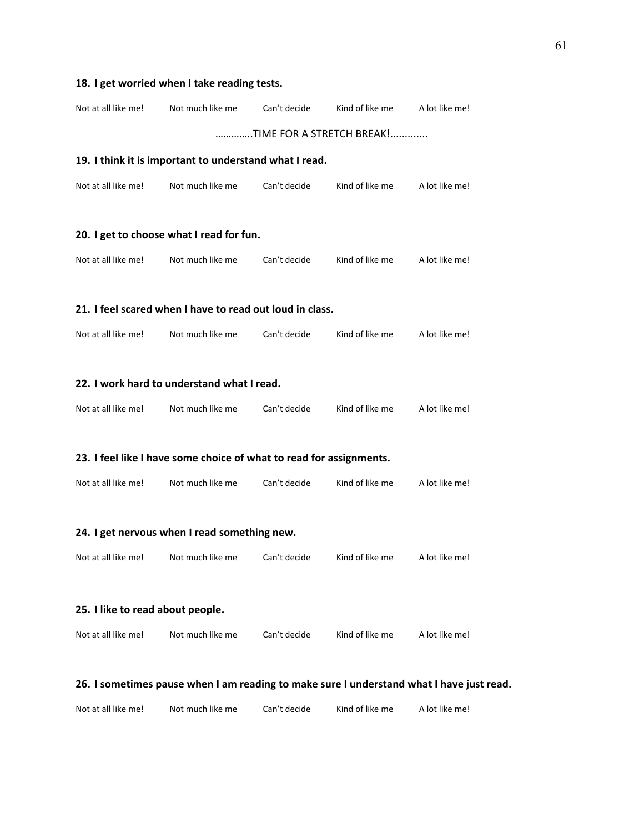# **18. I get worried when I take reading tests.**  Not at all like me! Not much like me Can't decide Kind of like me A lot like me! …………..TIME FOR A STRETCH BREAK!............. **19. I think it is important to understand what I read.** Not at all like me! Not much like me Can't decide Kind of like me A lot like me! **20. I get to choose what I read for fun.** Not at all like me! Not much like me Can't decide Kind of like me A lot like me! **21. I feel scared when I have to read out loud in class.** Not at all like me! Not much like me Can't decide Kind of like me A lot like me! **22. I work hard to understand what I read.** Not at all like me! Not much like me Can't decide Kind of like me A lot like me!

#### **23. I feel like I have some choice of what to read for assignments.**

| Not at all like me! | Not much like me | Can't decide | Kind of like me | A lot like me! |
|---------------------|------------------|--------------|-----------------|----------------|
|                     |                  |              |                 |                |

#### **24. I get nervous when I read something new.**

#### **25. I like to read about people.**

| Not at all like me! | Not much like me | Can't decide | Kind of like me | A lot like me! |
|---------------------|------------------|--------------|-----------------|----------------|
|---------------------|------------------|--------------|-----------------|----------------|

#### **26. I sometimes pause when I am reading to make sure I understand what I have just read.**

| Not at all like me! | Not much like me | Can't decide | Kind of like me | A lot like me! |
|---------------------|------------------|--------------|-----------------|----------------|
|                     |                  |              |                 |                |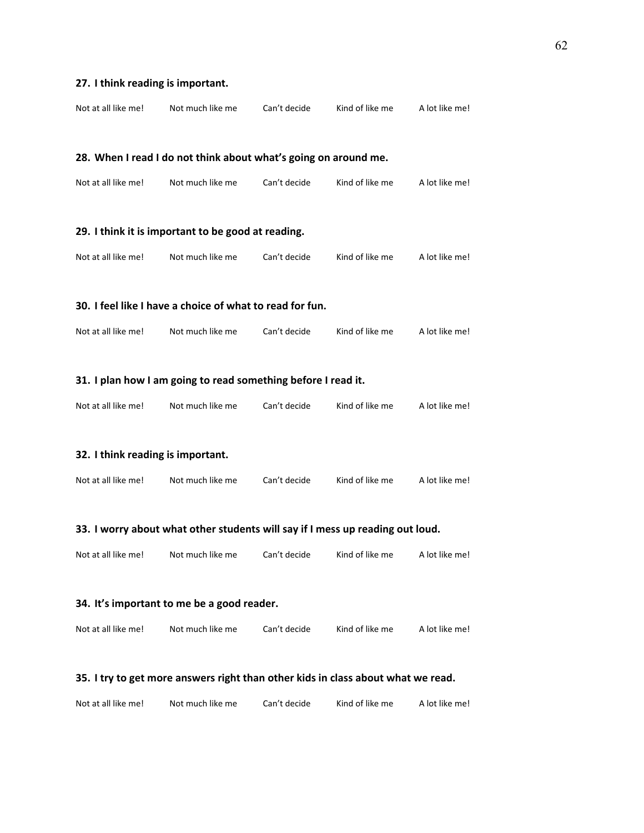| Not at all like me!                                                              | Not much like me                                                | Can't decide | Kind of like me | A lot like me! |
|----------------------------------------------------------------------------------|-----------------------------------------------------------------|--------------|-----------------|----------------|
|                                                                                  |                                                                 |              |                 |                |
|                                                                                  | 28. When I read I do not think about what's going on around me. |              |                 |                |
| Not at all like me!                                                              | Not much like me                                                | Can't decide | Kind of like me | A lot like me! |
|                                                                                  |                                                                 |              |                 |                |
|                                                                                  | 29. I think it is important to be good at reading.              |              |                 |                |
| Not at all like me!                                                              | Not much like me                                                | Can't decide | Kind of like me | A lot like me! |
|                                                                                  |                                                                 |              |                 |                |
|                                                                                  | 30. I feel like I have a choice of what to read for fun.        |              |                 |                |
| Not at all like me!                                                              | Not much like me                                                | Can't decide | Kind of like me | A lot like me! |
|                                                                                  |                                                                 |              |                 |                |
|                                                                                  | 31. I plan how I am going to read something before I read it.   |              |                 |                |
| Not at all like me!                                                              | Not much like me                                                | Can't decide | Kind of like me | A lot like me! |
|                                                                                  |                                                                 |              |                 |                |
| 32. I think reading is important.                                                |                                                                 |              |                 |                |
| Not at all like me!                                                              | Not much like me                                                | Can't decide | Kind of like me | A lot like me! |
|                                                                                  |                                                                 |              |                 |                |
| 33. I worry about what other students will say if I mess up reading out loud.    |                                                                 |              |                 |                |
| Not at all like me!                                                              | Not much like me                                                | Can't decide | Kind of like me | A lot like me! |
|                                                                                  |                                                                 |              |                 |                |
| 34. It's important to me be a good reader.                                       |                                                                 |              |                 |                |
| Not at all like me!                                                              | Not much like me                                                | Can't decide | Kind of like me | A lot like me! |
|                                                                                  |                                                                 |              |                 |                |
| 35. I try to get more answers right than other kids in class about what we read. |                                                                 |              |                 |                |
| Not at all like me!                                                              | Not much like me                                                | Can't decide | Kind of like me | A lot like me! |